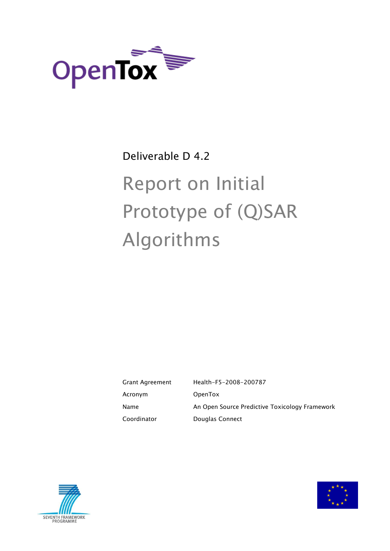

# Deliverable D 4.2

# Report on Initial Prototype of (Q)SAR Algorithms

Grant Agreement Health-F5-2008-200787 Acronym OpenTox Name **An Open Source Predictive Toxicology Framework** Coordinator **Douglas Connect** 



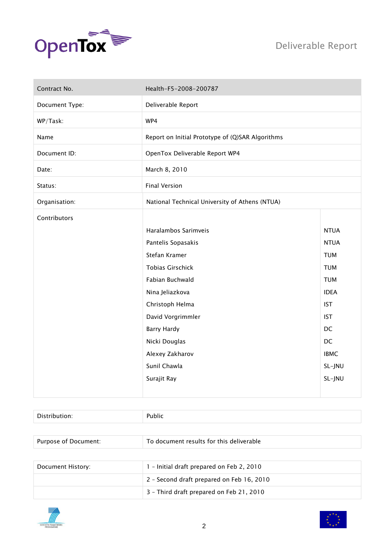

| Contract No.   | Health-F5-2008-200787                            |             |
|----------------|--------------------------------------------------|-------------|
| Document Type: | Deliverable Report                               |             |
| WP/Task:       | WP4                                              |             |
| Name           | Report on Initial Prototype of (Q)SAR Algorithms |             |
| Document ID:   | OpenTox Deliverable Report WP4                   |             |
| Date:          | March 8, 2010                                    |             |
| Status:        | <b>Final Version</b>                             |             |
| Organisation:  | National Technical University of Athens (NTUA)   |             |
| Contributors   |                                                  |             |
|                | Haralambos Sarimveis                             | <b>NTUA</b> |
|                | Pantelis Sopasakis                               | <b>NTUA</b> |
|                | Stefan Kramer                                    | <b>TUM</b>  |
|                | <b>Tobias Girschick</b>                          | <b>TUM</b>  |
|                | Fabian Buchwald                                  | <b>TUM</b>  |
|                | Nina Jeliazkova                                  | <b>IDEA</b> |
|                | Christoph Helma                                  | <b>IST</b>  |
|                | David Vorgrimmler                                | <b>IST</b>  |
|                | <b>Barry Hardy</b>                               | DC          |
|                | Nicki Douglas                                    | DC          |
|                | Alexey Zakharov                                  | <b>IBMC</b> |
|                | Sunil Chawla                                     | SL-JNU      |
|                | Surajit Ray                                      | SL-JNU      |
|                |                                                  |             |

| Purpose of Document: | To document results for this deliverable  |
|----------------------|-------------------------------------------|
|                      |                                           |
| Document History:    | 1 - Initial draft prepared on Feb 2, 2010 |
|                      | 2 - Second draft prepared on Feb 16, 2010 |
|                      | 3 - Third draft prepared on Feb 21, 2010  |



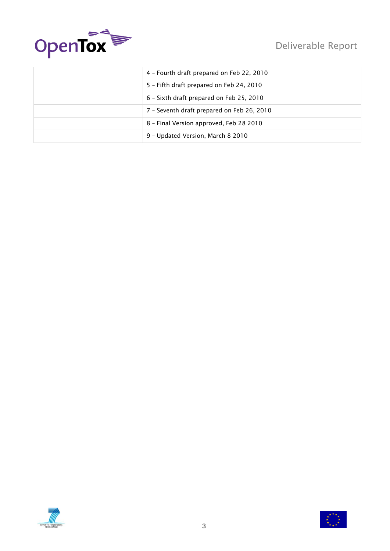



| 4 - Fourth draft prepared on Feb 22, 2010  |
|--------------------------------------------|
| 5 - Fifth draft prepared on Feb 24, 2010   |
| 6 - Sixth draft prepared on Feb 25, 2010   |
| 7 - Seventh draft prepared on Feb 26, 2010 |
| 8 - Final Version approved, Feb 28 2010    |
| 9 - Updated Version, March 8 2010          |



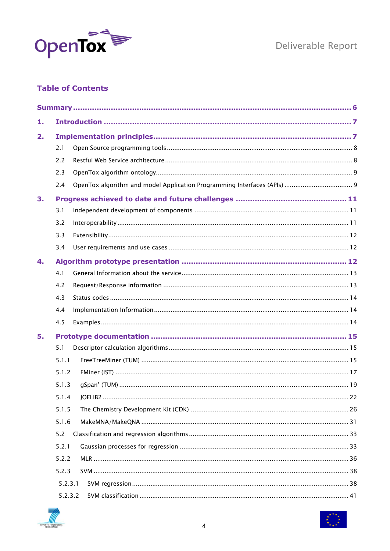

Deliverable Report

# **Table of Contents**

| 1. |         |  |
|----|---------|--|
| 2. |         |  |
|    | 2.1     |  |
|    | 2.2     |  |
|    | 2.3     |  |
|    | 2.4     |  |
| 3. |         |  |
|    | 3.1     |  |
|    | 3.2     |  |
|    | 3.3     |  |
|    | 3.4     |  |
| 4. |         |  |
|    | 4.1     |  |
|    | 4.2     |  |
|    | 4.3     |  |
|    | 4.4     |  |
|    | 4.5     |  |
| 5. |         |  |
|    | 5.1     |  |
|    | 5.1.1   |  |
|    | 5.1.2   |  |
|    | 5.1.3   |  |
|    |         |  |
|    | 5.1.5   |  |
|    | 5.1.6   |  |
|    | 5.2     |  |
|    | 5.2.1   |  |
|    | 5.2.2   |  |
|    | 5.2.3   |  |
|    | 5.2.3.1 |  |
|    | 5.2.3.2 |  |



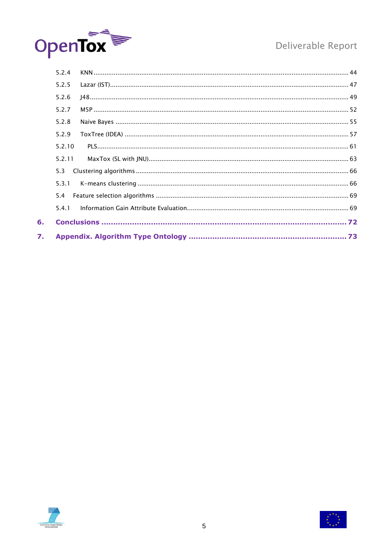

# Deliverable Report

| 5.2.4  |  |
|--------|--|
| 5.2.5  |  |
| 5.2.6  |  |
| 5.2.7  |  |
| 5.2.8  |  |
| 5.2.9  |  |
| 5.2.10 |  |
| 5.2.11 |  |
| 5.3    |  |
| 5.3.1  |  |
| 5.4    |  |
| 5.4.1  |  |
|        |  |
|        |  |



 $6.$ 

 $\overline{z}$ .

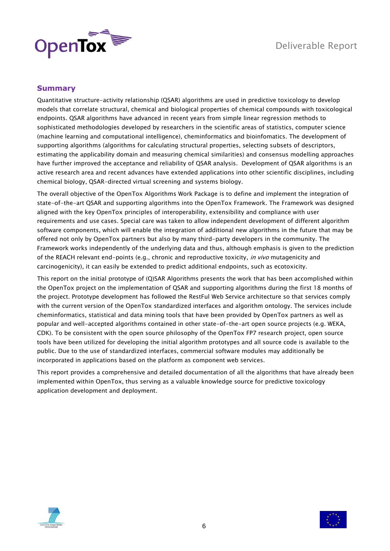

# <span id="page-5-0"></span>**Summary**

Quantitative structure-activity relationship (QSAR) algorithms are used in predictive toxicology to develop models that correlate structural, chemical and biological properties of chemical compounds with toxicological endpoints. QSAR algorithms have advanced in recent years from simple linear regression methods to sophisticated methodologies developed by researchers in the scientific areas of statistics, computer science (machine learning and computational intelligence), cheminformatics and bioinfomatics. The development of supporting algorithms (algorithms for calculating structural properties, selecting subsets of descriptors, estimating the applicability domain and measuring chemical similarities) and consensus modelling approaches have further improved the acceptance and reliability of QSAR analysis. Development of QSAR algorithms is an active research area and recent advances have extended applications into other scientific disciplines, including chemical biology, QSAR-directed virtual screening and systems biology.

The overall objective of the OpenTox Algorithms Work Package is to define and implement the integration of state-of-the-art QSAR and supporting algorithms into the OpenTox Framework. The Framework was designed aligned with the key OpenTox principles of interoperability, extensibility and compliance with user requirements and use cases. Special care was taken to allow independent development of different algorithm software components, which will enable the integration of additional new algorithms in the future that may be offered not only by OpenTox partners but also by many third-party developers in the community. The Framework works independently of the underlying data and thus, although emphasis is given to the prediction of the REACH relevant end-points (e.g., chronic and reproductive toxicity, in vivo mutagenicity and carcinogenicity), it can easily be extended to predict additional endpoints, such as ecotoxicity.

This report on the initial prototype of (Q)SAR Algorithms presents the work that has been accomplished within the OpenTox project on the implementation of QSAR and supporting algorithms during the first 18 months of the project. Prototype development has followed the RestFul Web Service architecture so that services comply with the current version of the OpenTox standardized interfaces and algorithm ontology. The services include cheminformatics, statistical and data mining tools that have been provided by OpenTox partners as well as popular and well-accepted algorithms contained in other state-of-the-art open source projects (e.g. WEKA, CDK). To be consistent with the open source philosophy of the OpenTox FP7 research project, open source tools have been utilized for developing the initial algorithm prototypes and all source code is available to the public. Due to the use of standardized interfaces, commercial software modules may additionally be incorporated in applications based on the platform as component web services.

This report provides a comprehensive and detailed documentation of all the algorithms that have already been implemented within OpenTox, thus serving as a valuable knowledge source for predictive toxicology application development and deployment.



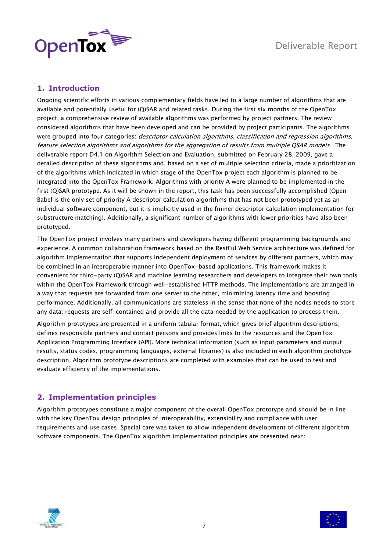



# <span id="page-6-0"></span>**1. Introduction**

Ongoing scientific efforts in various complementary fields have led to a large number of algorithms that are available and potentially useful for (Q)SAR and related tasks. During the first six months of the OpenTox project, a comprehensive review of available algorithms was performed by project partners. The review considered algorithms that have been developed and can be provided by project participants. The algorithms were grouped into four categories: *descriptor calculation algorithms*, *classification and regression algorithms*, feature selection algorithms and algorithms for the aggregation of results from multiple QSAR models. The deliverable report D4.1 on Algorithm Selection and Evaluation, submitted on February 28, 2009, gave a detailed description of these algorithms and, based on a set of multiple selection criteria, made a prioritization of the algorithms which indicated in which stage of the OpenTox project each algorithm is planned to be integrated into the OpenTox Framework. Algorithms with priority A were planned to be implemented in the first (Q)SAR prototype. As it will be shown in the report, this task has been successfully accomplished (Open Babel is the only set of priority A descriptor calculation algorithms that has not been prototyped yet as an individual software component, but it is implicitly used in the fminer descriptor calculation implementation for substructure matching). Additionally, a significant number of algorithms with lower priorities have also been prototyped.

The OpenTox project involves many partners and developers having different programming backgrounds and experience. A common collaboration framework based on the RestFul Web Service architecture was defined for algorithm implementation that supports independent deployment of services by different partners, which may be combined in an interoperable manner into OpenTox-based applications. This framework makes it convenient for third-party (Q)SAR and machine learning researchers and developers to integrate their own tools within the OpenTox Framework through well-established HTTP methods. The implementations are arranged in a way that requests are forwarded from one server to the other, minimizing latency time and boosting performance. Additionally, all communications are stateless in the sense that none of the nodes needs to store any data; requests are self-contained and provide all the data needed by the application to process them.

Algorithm prototypes are presented in a uniform tabular format, which gives brief algorithm descriptions, defines responsible partners and contact persons and provides links to the resources and the OpenTox Application Programming Interface (API). More technical information (such as input parameters and output results, status codes, programming languages, external libraries) is also included in each algorithm prototype description. Algorithm prototype descriptions are completed with examples that can be used to test and evaluate efficiency of the implementations.

# <span id="page-6-1"></span>**2. Implementation principles**

Algorithm prototypes constitute a major component of the overall OpenTox prototype and should be in line with the key OpenTox design principles of interoperability, extensibility and compliance with user requirements and use cases. Special care was taken to allow independent development of different algorithm software components. The OpenTox algorithm implementation principles are presented next:



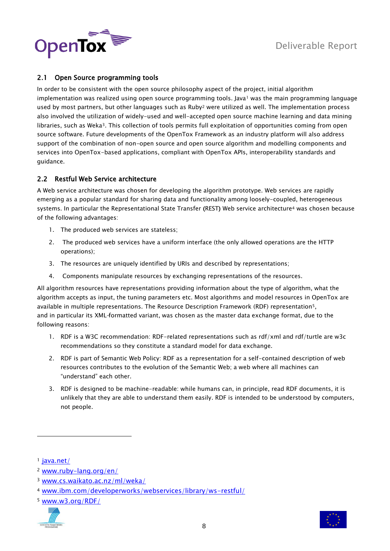



# <span id="page-7-0"></span>2.1 Open Source programming tools

In order to be consistent with the open source philosophy aspect of the project, initial algorithm implementation was realized using open source programming tools. Java<sup>1</sup> was the main programming language used by most partners, but other languages such as Ruby<sup>2</sup> were utilized as well. The implementation process also involved the utilization of widely-used and well-accepted open source machine learning and data mining libraries, such as Weka3. This collection of tools permits full exploitation of opportunities coming from open source software. Future developments of the OpenTox Framework as an industry platform will also address support of the combination of non-open source and open source algorithm and modelling components and services into OpenTox-based applications, compliant with OpenTox APIs, interoperability standards and guidance.

# <span id="page-7-1"></span>2.2 Restful Web Service architecture

A Web service architecture was chosen for developing the algorithm prototype. Web services are rapidly emerging as a popular standard for sharing data and functionality among loosely-coupled, heterogeneous systems. In particular the Representational State Transfer (REST) Web service architecture<sup>4</sup> was chosen because of the following advantages:

- 1. The produced web services are stateless;
- 2. The produced web services have a uniform interface (the only allowed operations are the HTTP operations);
- 3. The resources are uniquely identified by URIs and described by representations;
- 4. Components manipulate resources by exchanging representations of the resources.

All algorithm resources have representations providing information about the type of algorithm, what the algorithm accepts as input, the tuning parameters etc. Most algorithms and model resources in OpenTox are available in multiple representations. The Resource Description Framework (RDF) representation5, and in particular its XML-formatted variant, was chosen as the master data exchange format, due to the following reasons:

- 1. RDF is a W3C recommendation: RDF-related representations such as rdf/xml and rdf/turtle are w3c recommendations so they constitute a standard model for data exchange.
- 2. RDF is part of Semantic Web Policy: RDF as a representation for a self-contained description of web resources contributes to the evolution of the Semantic Web; a web where all machines can "understand" each other.
- 3. RDF is designed to be machine-readable: while humans can, in principle, read RDF documents, it is unlikely that they are able to understand them easily. RDF is intended to be understood by computers, not people.

-

<sup>5</sup> [www.w3.org/RDF/](http://www.w3.org/RDF/)





<sup>&</sup>lt;sup>1</sup> [java.net/](http://java.net/)

<sup>2</sup> [www.ruby-lang.org/en/](http://www.ruby-lang.org/en/)

<sup>3</sup> [www.cs.waikato.ac.nz/ml/weka/](http://www.cs.waikato.ac.nz/ml/weka/)

<sup>4</sup> [www.ibm.com/developerworks/webservices/library/ws-restful/](http://www.ibm.com/developerworks/webservices/library/ws-restful/)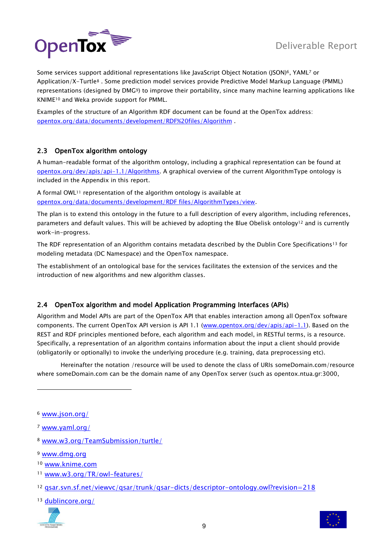

Some services support additional representations like JavaScript Object Notation (JSON) <sup>6</sup>, YAML<sup>7</sup> or Application/X-Turtle<sup>8</sup> . Some prediction model services provide Predictive Model Markup Language (PMML) representations (designed by DMG9) to improve their portability, since many machine learning applications like KNIME<sup>10</sup> and Weka provide support for PMML.

Examples of the structure of an Algorithm RDF document can be found at the OpenTox address: [opentox.org/data/documents/development/RDF%20files/Algorithm](http://opentox.org/data/documents/development/RDF%20files/Algorithm) .

# <span id="page-8-0"></span>2.3 OpenTox algorithm ontology

A human-readable format of the algorithm ontology, including a graphical representation can be found at [opentox.org/dev/apis/api-1.1/Algorithms.](http://opentox.org/dev/apis/api-1.1/Algorithms) A graphical overview of the current AlgorithmType ontology is included in the Appendix in this report.

A formal OWL<sup>11</sup> representation of the algorithm ontology is available at [opentox.org/data/documents/development/RDF files/AlgorithmTypes/view.](http://opentox.org/data/documents/development/RDF%20files/AlgorithmTypes/view)

The plan is to extend this ontology in the future to a full description of every algorithm, including references, parameters and default values. This will be achieved by adopting the Blue Obelisk ontology<sup>12</sup> and is currently work-in-progress.

The RDF representation of an Algorithm contains metadata described by the Dublin Core Specifications<sup>13</sup> for modeling metadata (DC Namespace) and the OpenTox namespace.

The establishment of an ontological base for the services facilitates the extension of the services and the introduction of new algorithms and new algorithm classes.

# <span id="page-8-1"></span>2.4 OpenTox algorithm and model Application Programming Interfaces (APIs)

Algorithm and Model APIs are part of the OpenTox API that enables interaction among all OpenTox software components. The current OpenTox API version is API 1.1 [\(www.opentox.org/dev/apis/api-1.1\)](http://www.opentox.org/dev/apis/api-1.1). Based on the REST and RDF principles mentioned before, each algorithm and each model, in RESTful terms, is a resource. Specifically, a representation of an algorithm contains information about the input a client should provide (obligatorily or optionally) to invoke the underlying procedure (e.g. training, data preprocessing etc).

Hereinafter the notation /resource will be used to denote the class of URIs someDomain.com/resource where someDomain.com can be the domain name of any OpenTox server (such as opentox.ntua.gr:3000,

1

<sup>11</sup> [www.w3.org/TR/owl-features/](http://www.w3.org/TR/owl-features/)

<sup>13</sup> [dublincore.org/](http://dublincore.org/)





<sup>6</sup> [www.json.org/](http://www.json.org/)

<sup>7</sup> [www.yaml.org/](http://www.yaml.org/)

<sup>8</sup> [www.w3.org/TeamSubmission/turtle/](http://www.w3.org/TeamSubmission/turtle/)

<sup>9</sup> [www.dmg.org](http://www.dmg.org/)

<sup>10</sup> [www.knime.com](http://www.knime.com/)

<sup>12</sup> gsar.svn.sf.net/viewvc/qsar/trunk/qsar-dicts/descriptor-ontology.owl?revision=218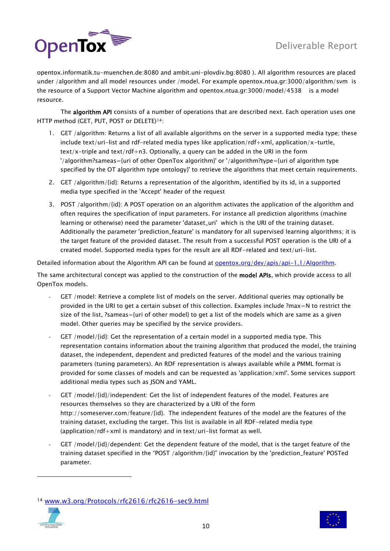

opentox.informatik.tu-muenchen.de:8080 and ambit.uni-plovdiv.bg:8080 ). All algorithm resources are placed under /algorithm and all model resources under /model. For example opentox.ntua.gr:3000/algorithm/svm is the resource of a Support Vector Machine algorithm and opentox.ntua.gr:3000/model/4538 is a model resource.

The algorithm API consists of a number of operations that are described next. Each operation uses one HTTP method (GET, PUT, POST or DELETE)14:

- 1. GET /algorithm: Returns a list of all available algorithms on the server in a supported media type; these include text/uri-list and rdf-related media types like application/rdf+xml, application/x-turtle,  $text/x-triple$  and text/rdf+n3. Optionally, a query can be added in the URI in the form '/algorithm?sameas={uri of other OpenTox algorithm}' or '/algorithm?type={uri of algorithm type specified by the OT algorithm type ontology}' to retrieve the algorithms that meet certain requirements.
- 2. GET /algorithm/{id}: Returns a representation of the algorithm, identified by its id, in a supported media type specified in the 'Accept' header of the request
- 3. POST /algorithm/{id}: A POST operation on an algorithm activates the application of the algorithm and often requires the specification of input parameters. For instance all prediction algorithms (machine learning or otherwise) need the parameter 'dataset\_uri' which is the URI of the training dataset. Additionally the parameter 'prediction\_feature' is mandatory for all supervised learning algorithms; it is the target feature of the provided dataset. The result from a successful POST operation is the URI of a created model. Supported media types for the result are all RDF-related and text/uri-list.

Detailed information about the Algorithm API can be found at **opentox.org/dev/apis/api-1.1/Algorithm**.

The same architectural concept was applied to the construction of the model APIs, which provide access to all OpenTox models.

- GET /model: Retrieve a complete list of models on the server. Additional queries may optionally be provided in the URI to get a certain subset of this collection. Examples include ?max=N to restrict the size of the list, ?sameas={uri of other model} to get a list of the models which are same as a given model. Other queries may be specified by the service providers.
- GET /model/{id}: Get the representation of a certain model in a supported media type. This representation contains information about the training algorithm that produced the model, the training dataset, the independent, dependent and predicted features of the model and the various training parameters (tuning parameters). An RDF representation is always available while a PMML format is provided for some classes of models and can be requested as 'application/xml'. Some services support additional media types such as JSON and YAML.
- GET /model/{id}/independent: Get the list of independent features of the model. Features are resources themselves so they are characterized by a URI of the form http://someserver.com/feature/{id}. The independent features of the model are the features of the training dataset, excluding the target. This list is available in all RDF-related media type (application/rdf+xml is mandatory) and in text/uri-list format as well.
- GET /model/{id}/dependent: Get the dependent feature of the model, that is the target feature of the training dataset specified in the "POST /algorithm/{id}" invocation by the 'prediction\_feature' POSTed parameter.

<sup>14</sup> [www.w3.org/Protocols/rfc2616/rfc2616-sec9.html](http://www.w3.org/Protocols/rfc2616/rfc2616-sec9.html)



-

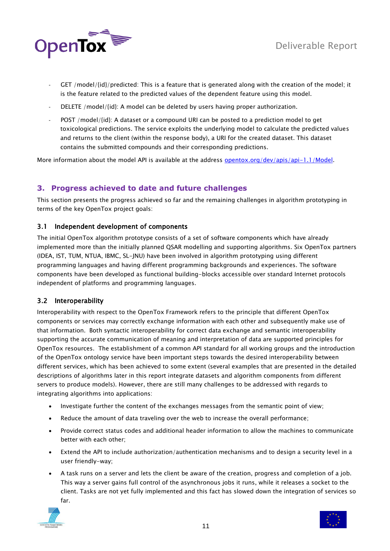

- GET /model/{id}/predicted: This is a feature that is generated along with the creation of the model; it is the feature related to the predicted values of the dependent feature using this model.
- DELETE /model/{id}: A model can be deleted by users having proper authorization.
- POST /model/{id}: A dataset or a compound URI can be posted to a prediction model to get toxicological predictions. The service exploits the underlying model to calculate the predicted values and returns to the client (within the response body), a URI for the created dataset. This dataset contains the submitted compounds and their corresponding predictions.

More information about the model API is available at the address [opentox.org/dev/apis/api-1.1/Model.](http://opentox.org/dev/apis/api-1.1/Model)

# <span id="page-10-0"></span>**3. Progress achieved to date and future challenges**

This section presents the progress achieved so far and the remaining challenges in algorithm prototyping in terms of the key OpenTox project goals:

# <span id="page-10-1"></span>3.1 Independent development of components

The initial OpenTox algorithm prototype consists of a set of software components which have already implemented more than the initially planned QSAR modelling and supporting algorithms. Six OpenTox partners (IDEA, IST, TUM, NTUA, IBMC, SL-JNU) have been involved in algorithm prototyping using different programming languages and having different programming backgrounds and experiences. The software components have been developed as functional building-blocks accessible over standard Internet protocols independent of platforms and programming languages.

# <span id="page-10-2"></span>3.2 Interoperability

Interoperability with respect to the OpenTox Framework refers to the principle that different OpenTox components or services may correctly exchange information with each other and subsequently make use of that information. Both syntactic interoperability for correct data exchange and semantic interoperability supporting the accurate communication of meaning and interpretation of data are supported principles for OpenTox resources. The establishment of a common API standard for all working groups and the introduction of the OpenTox ontology service have been important steps towards the desired interoperability between different services, which has been achieved to some extent (several examples that are presented in the detailed descriptions of algorithms later in this report integrate datasets and algorithm components from different servers to produce models). However, there are still many challenges to be addressed with regards to integrating algorithms into applications:

- Investigate further the content of the exchanges messages from the semantic point of view;
- Reduce the amount of data traveling over the web to increase the overall performance;
- Provide correct status codes and additional header information to allow the machines to communicate better with each other;
- Extend the API to include authorization/authentication mechanisms and to design a security level in a user friendly-way;
- A task runs on a server and lets the client be aware of the creation, progress and completion of a job. This way a server gains full control of the asynchronous jobs it runs, while it releases a socket to the client. Tasks are not yet fully implemented and this fact has slowed down the integration of services so far.



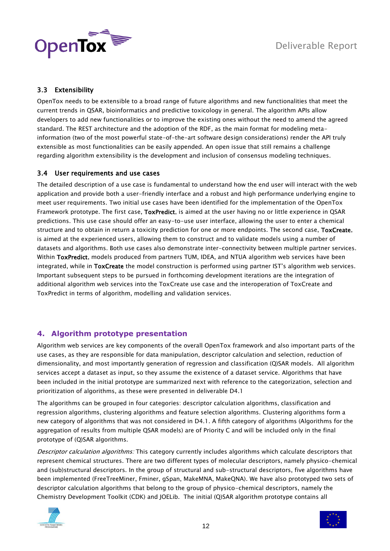

# <span id="page-11-0"></span>3.3 Extensibility

OpenTox needs to be extensible to a broad range of future algorithms and new functionalities that meet the current trends in QSAR, bioinformatics and predictive toxicology in general. The algorithm APIs allow developers to add new functionalities or to improve the existing ones without the need to amend the agreed standard. The REST architecture and the adoption of the RDF, as the main format for modeling metainformation (two of the most powerful state-of-the-art software design considerations) render the API truly extensible as most functionalities can be easily appended. An open issue that still remains a challenge regarding algorithm extensibility is the development and inclusion of consensus modeling techniques.

# <span id="page-11-1"></span>3.4 User requirements and use cases

The detailed description of a use case is fundamental to understand how the end user will interact with the web application and provide both a user-friendly interface and a robust and high performance underlying engine to meet user requirements. Two initial use cases have been identified for the implementation of the OpenTox Framework prototype. The first case, ToxPredict, is aimed at the user having no or little experience in QSAR predictions. This use case should offer an easy-to-use user interface, allowing the user to enter a chemical structure and to obtain in return a toxicity prediction for one or more endpoints. The second case, ToxCreate, is aimed at the experienced users, allowing them to construct and to validate models using a number of datasets and algorithms. Both use cases also demonstrate inter-connectivity between multiple partner services. Within ToxPredict, models produced from partners TUM, IDEA, and NTUA algorithm web services have been integrated, while in ToxCreate the model construction is performed using partner IST's algorithm web services. Important subsequent steps to be pursued in forthcoming development iterations are the integration of additional algorithm web services into the ToxCreate use case and the interoperation of ToxCreate and ToxPredict in terms of algorithm, modelling and validation services.

# <span id="page-11-2"></span>**4. Algorithm prototype presentation**

Algorithm web services are key components of the overall OpenTox framework and also important parts of the use cases, as they are responsible for data manipulation, descriptor calculation and selection, reduction of dimensionality, and most importantly generation of regression and classification (Q)SAR models. All algorithm services accept a dataset as input, so they assume the existence of a dataset service. Algorithms that have been included in the initial prototype are summarized next with reference to the categorization, selection and prioritization of algorithms, as these were presented in deliverable D4.1

The algorithms can be grouped in four categories: descriptor calculation algorithms, classification and regression algorithms, clustering algorithms and feature selection algorithms. Clustering algorithms form a new category of algorithms that was not considered in D4.1. A fifth category of algorithms (Algorithms for the aggregation of results from multiple QSAR models) are of Priority C and will be included only in the final prototype of (Q)SAR algorithms.

Descriptor calculation algorithms: This category currently includes algorithms which calculate descriptors that represent chemical structures. There are two different types of molecular descriptors, namely physico-chemical and (sub)structural descriptors. In the group of structural and sub-structural descriptors, five algorithms have been implemented (FreeTreeMiner, Fminer, gSpan, MakeMNA, MakeQNA). We have also prototyped two sets of descriptor calculation algorithms that belong to the group of physico-chemical descriptors, namely the Chemistry Development Toolkit (CDK) and JOELib. The initial (Q)SAR algorithm prototype contains all



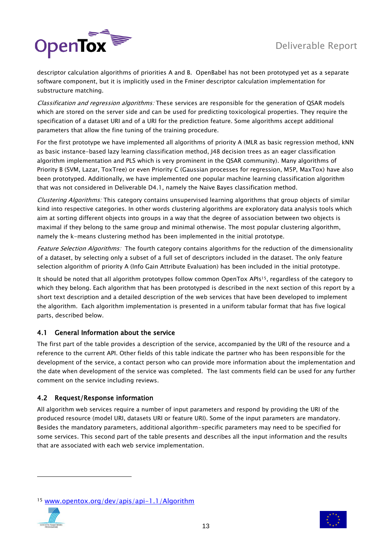

descriptor calculation algorithms of priorities A and B. OpenBabel has not been prototyped yet as a separate software component, but it is implicitly used in the Fminer descriptor calculation implementation for substructure matching.

Classification and regression algorithms: These services are responsible for the generation of QSAR models which are stored on the server side and can be used for predicting toxicological properties. They require the specification of a dataset URI and of a URI for the prediction feature. Some algorithms accept additional parameters that allow the fine tuning of the training procedure.

For the first prototype we have implemented all algorithms of priority A (MLR as basic regression method, kNN as basic instance-based lazy learning classification method, J48 decision trees as an eager classification algorithm implementation and PLS which is very prominent in the QSAR community). Many algorithms of Priority B (SVM, Lazar, ToxTree) or even Priority C (Gaussian processes for regression, M5P, MaxTox) have also been prototyped. Additionally, we have implemented one popular machine learning classification algorithm that was not considered in Deliverable D4.1, namely the Naive Bayes classification method.

Clustering Algorithms: This category contains unsupervised learning algorithms that group objects of similar kind into respective categories. In other words clustering algorithms are exploratory data analysis tools which aim at sorting different objects into groups in a way that the degree of association between two objects is maximal if they belong to the same group and minimal otherwise. The most popular clustering algorithm, namely the k-means clustering method has been implemented in the initial prototype.

Feature Selection Algorithms: The fourth category contains algorithms for the reduction of the dimensionality of a dataset, by selecting only a subset of a full set of descriptors included in the dataset. The only feature selection algorithm of priority A (Info Gain Attribute Evaluation) has been included in the initial prototype.

It should be noted that all algorithm prototypes follow common OpenTox APIs15, regardless of the category to which they belong. Each algorithm that has been prototyped is described in the next section of this report by a short text description and a detailed description of the web services that have been developed to implement the algorithm. Each algorithm implementation is presented in a uniform tabular format that has five logical parts, described below.

# <span id="page-12-0"></span>4.1 General Information about the service

The first part of the table provides a description of the service, accompanied by the URI of the resource and a reference to the current API. Other fields of this table indicate the partner who has been responsible for the development of the service, a contact person who can provide more information about the implementation and the date when development of the service was completed. The last comments field can be used for any further comment on the service including reviews.

# <span id="page-12-1"></span>4.2 Request/Response information

All algorithm web services require a number of input parameters and respond by providing the URI of the produced resource (model URI, datasets URI or feature URI). Some of the input parameters are mandatory. Besides the mandatory parameters, additional algorithm-specific parameters may need to be specified for some services. This second part of the table presents and describes all the input information and the results that are associated with each web service implementation.

<sup>15</sup> [www.opentox.org/dev/apis/api-1.1/Algorithm](http://www.opentox.org/dev/apis/api-1.1/Algorithm)



-

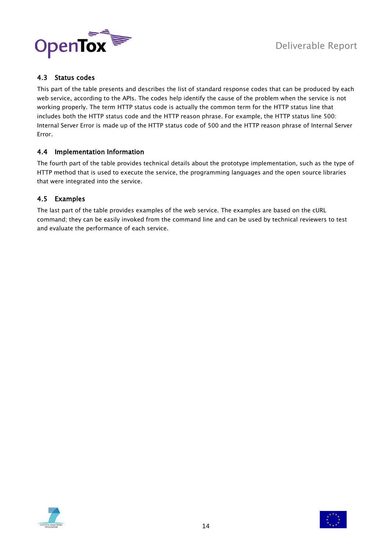

# <span id="page-13-0"></span>4.3 Status codes

This part of the table presents and describes the list of standard response codes that can be produced by each web service, according to the APIs. The codes help identify the cause of the problem when the service is not working properly. The term HTTP status code is actually the common term for the HTTP status line that includes both the HTTP status code and the HTTP reason phrase. For example, the HTTP status line 500: Internal Server Error is made up of the HTTP status code of 500 and the HTTP reason phrase of Internal Server Error.

# <span id="page-13-1"></span>4.4 Implementation Information

The fourth part of the table provides technical details about the prototype implementation, such as the type of HTTP method that is used to execute the service, the programming languages and the open source libraries that were integrated into the service.

# <span id="page-13-2"></span>4.5 Examples

The last part of the table provides examples of the web service. The examples are based on the cURL command; they can be easily invoked from the command line and can be used by technical reviewers to test and evaluate the performance of each service.



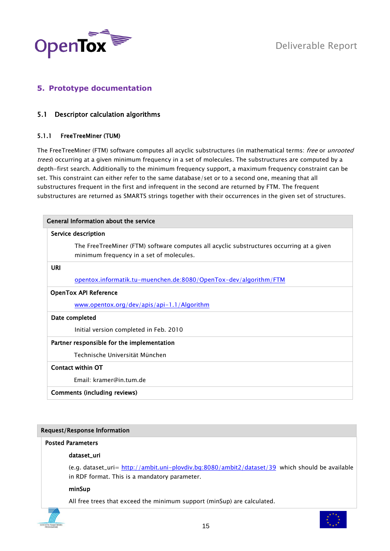

# <span id="page-14-1"></span><span id="page-14-0"></span>**5. Prototype documentation**

# 5.1 Descriptor calculation algorithms

# <span id="page-14-2"></span>5.1.1 FreeTreeMiner (TUM)

The FreeTreeMiner (FTM) software computes all acyclic substructures (in mathematical terms: free or unrooted trees) occurring at a given minimum frequency in a set of molecules. The substructures are computed by a depth-first search. Additionally to the minimum frequency support, a maximum frequency constraint can be set. This constraint can either refer to the same database/set or to a second one, meaning that all substructures frequent in the first and infrequent in the second are returned by FTM. The frequent substructures are returned as SMARTS strings together with their occurrences in the given set of structures.

| General Information about the service                                                                                                |  |  |
|--------------------------------------------------------------------------------------------------------------------------------------|--|--|
| Service description                                                                                                                  |  |  |
| The FreeTreeMiner (FTM) software computes all acyclic substructures occurring at a given<br>minimum frequency in a set of molecules. |  |  |
| URI                                                                                                                                  |  |  |
| opentox.informatik.tu-muenchen.de:8080/OpenTox-dev/algorithm/FTM                                                                     |  |  |
| <b>OpenTox API Reference</b>                                                                                                         |  |  |
| www.opentox.org/dev/apis/api-1.1/Algorithm                                                                                           |  |  |
| Date completed                                                                                                                       |  |  |
| Initial version completed in Feb. 2010                                                                                               |  |  |
| Partner responsible for the implementation                                                                                           |  |  |
| Technische Universität München                                                                                                       |  |  |
| Contact within OT                                                                                                                    |  |  |
| Fmail: kramer@in.tum.de                                                                                                              |  |  |
| Comments (including reviews)                                                                                                         |  |  |

# Request/Response Information

# Posted Parameters

# dataset\_uri

(e.g. dataset\_uri= <http://ambit.uni-plovdiv.bg:8080/ambit2/dataset/39> which should be available in RDF format. This is a mandatory parameter.

# minSup

All free trees that exceed the minimum support (minSup) are calculated.

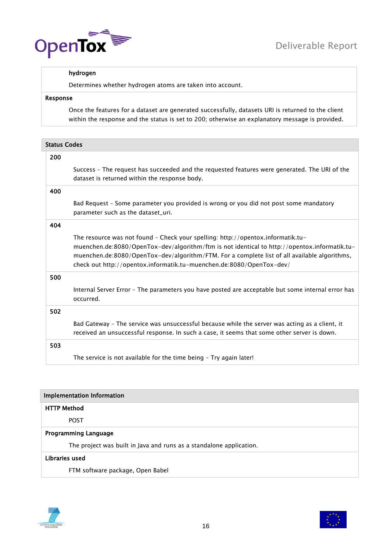

# hydrogen

Determines whether hydrogen atoms are taken into account.

# Response

Once the features for a dataset are generated successfully, datasets URI is returned to the client within the response and the status is set to 200; otherwise an explanatory message is provided.

| <b>Status Codes</b> |                                                                                                                                                                                                                                                                                                                                                         |  |
|---------------------|---------------------------------------------------------------------------------------------------------------------------------------------------------------------------------------------------------------------------------------------------------------------------------------------------------------------------------------------------------|--|
| 200                 |                                                                                                                                                                                                                                                                                                                                                         |  |
|                     | Success - The request has succeeded and the requested features were generated. The URI of the<br>dataset is returned within the response body.                                                                                                                                                                                                          |  |
| 400                 |                                                                                                                                                                                                                                                                                                                                                         |  |
|                     | Bad Request - Some parameter you provided is wrong or you did not post some mandatory<br>parameter such as the dataset_uri.                                                                                                                                                                                                                             |  |
| 404                 |                                                                                                                                                                                                                                                                                                                                                         |  |
|                     | The resource was not found - Check your spelling: http://opentox.informatik.tu-<br>muenchen.de:8080/OpenTox-dev/algorithm/ftm is not identical to http://opentox.informatik.tu-<br>muenchen.de:8080/OpenTox-dev/algorithm/FTM. For a complete list of all available algorithms,<br>check out http://opentox.informatik.tu-muenchen.de:8080/OpenTox-dev/ |  |
| 500                 |                                                                                                                                                                                                                                                                                                                                                         |  |
|                     | Internal Server Error - The parameters you have posted are acceptable but some internal error has<br>occurred.                                                                                                                                                                                                                                          |  |
| 502                 |                                                                                                                                                                                                                                                                                                                                                         |  |
|                     | Bad Gateway - The service was unsuccessful because while the server was acting as a client, it<br>received an unsuccessful response. In such a case, it seems that some other server is down.                                                                                                                                                           |  |
| 503                 |                                                                                                                                                                                                                                                                                                                                                         |  |
|                     | The service is not available for the time being - Try again later!                                                                                                                                                                                                                                                                                      |  |

| Implementation Information                                          |  |  |
|---------------------------------------------------------------------|--|--|
| <b>HTTP Method</b>                                                  |  |  |
| <b>POST</b>                                                         |  |  |
| <b>Programming Language</b>                                         |  |  |
| The project was built in Java and runs as a standalone application. |  |  |
| Libraries used                                                      |  |  |
| FTM software package, Open Babel                                    |  |  |



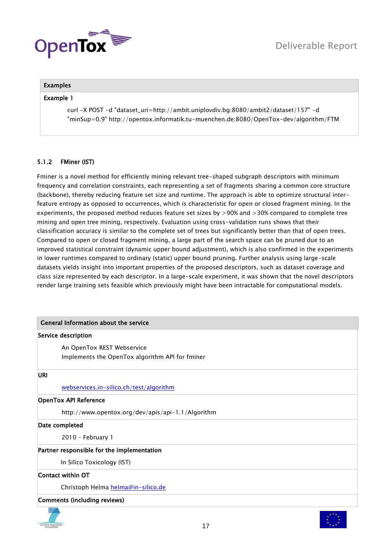

# Examples

#### Example 1

curl -X POST -d "dataset\_uri=http://ambit.uniplovdiv.bg:8080/ambit2/dataset/157" -d "minSup=0.9" http://opentox.informatik.tu-muenchen.de:8080/OpenTox-dev/algorithm/FTM

# <span id="page-16-0"></span>5.1.2 FMiner (IST)

Fminer is a novel method for efficiently mining relevant tree-shaped subgraph descriptors with minimum frequency and correlation constraints, each representing a set of fragments sharing a common core structure (backbone), thereby reducing feature set size and runtime. The approach is able to optimize structural interfeature entropy as opposed to occurrences, which is characteristic for open or closed fragment mining. In the experiments, the proposed method reduces feature set sizes by >90% and >30% compared to complete tree mining and open tree mining, respectively. Evaluation using cross-validation runs shows that their classification accuracy is similar to the complete set of trees but significantly better than that of open trees. Compared to open or closed fragment mining, a large part of the search space can be pruned due to an improved statistical constraint (dynamic upper bound adjustment), which is also confirmed in the experiments in lower runtimes compared to ordinary (static) upper bound pruning. Further analysis using large-scale datasets yields insight into important properties of the proposed descriptors, such as dataset coverage and class size represented by each descriptor. In a large-scale experiment, it was shown that the novel descriptors render large training sets feasible which previously might have been intractable for computational models.

# General Information about the service

#### Service description

An OpenTox REST Webservice Implements the OpenTox algorithm API for fminer

#### URI

# [webservices.in-silico.ch/test/algorithm](http://webservices.in-silico.ch/test/algorithm)

# OpenTox API Reference

http://www.opentox.org/dev/apis/api-1.1/Algorithm

# Date completed

2010 – February 1

# Partner responsible for the implementation

In Silico Toxicology (IST)

Contact within OT

Christoph Helma [helma@in-silico.de](mailto:helma@in-silico.de)

# Comments (including reviews)



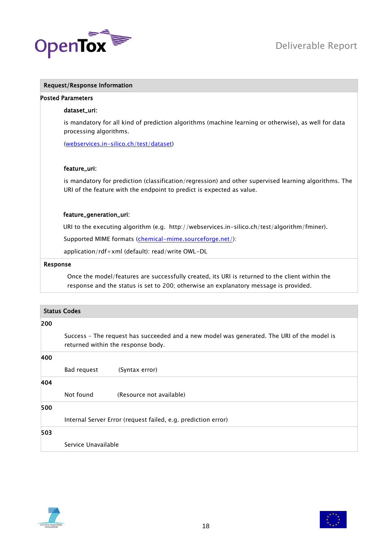

# Request/Response Information

#### Posted Parameters

#### dataset\_uri:

is mandatory for all kind of prediction algorithms (machine learning or otherwise), as well for data processing algorithms.

[\(webservices.in-silico.ch/test/dataset\)](http://webservices.in-silico.ch/test/dataset)

#### feature\_uri:

is mandatory for prediction (classification/regression) and other supervised learning algorithms. The URI of the feature with the endpoint to predict is expected as value.

# feature\_generation\_uri:

URI to the executing algorithm (e.g. http://webservices.in-silico.ch/test/algorithm/fminer).

Supported MIME formats [\(chemical-mime.sourceforge.net/\)](http://chemical-mime.sourceforge.net/):

application/rdf+xml (default): read/write OWL-DL

#### Response

Once the model/features are successfully created, its URI is returned to the client within the response and the status is set to 200; otherwise an explanatory message is provided.

|     | <b>Status Codes</b>                                                                                                              |                          |  |
|-----|----------------------------------------------------------------------------------------------------------------------------------|--------------------------|--|
| 200 |                                                                                                                                  |                          |  |
|     | Success - The request has succeeded and a new model was generated. The URI of the model is<br>returned within the response body. |                          |  |
| 400 |                                                                                                                                  |                          |  |
|     | Bad request                                                                                                                      | (Syntax error)           |  |
| 404 |                                                                                                                                  |                          |  |
|     | Not found                                                                                                                        | (Resource not available) |  |
| 500 |                                                                                                                                  |                          |  |
|     | Internal Server Error (request failed, e.g. prediction error)                                                                    |                          |  |
| 503 |                                                                                                                                  |                          |  |
|     | Service Unavailable                                                                                                              |                          |  |



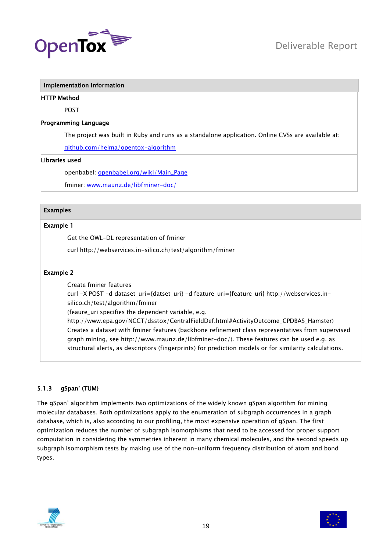

#### Implementation Information

#### HTTP Method

POST

# Programming Language

The project was built in Ruby and runs as a standalone application. Online CVSs are available at:

[github.com/helma/opentox-algorithm](http://github.com/helma/opentox-algorithm)

#### Libraries used

openbabel: [openbabel.org/wiki/Main\\_Page](http://openbabel.org/wiki/Main_Page)

fminer: [www.maunz.de/libfminer-doc/](http://www.maunz.de/libfminer-doc/)

# Examples

# Example 1

Get the OWL-DL representation of fminer

curl http://webservices.in-silico.ch/test/algorithm/fminer

# Example 2

Create fminer features

curl -X POST -d dataset\_uri={datset\_uri} -d feature\_uri={feature\_uri} http://webservices.insilico.ch/test/algorithm/fminer

(feaure\_uri specifies the dependent variable, e.g.

http://www.epa.gov/NCCT/dsstox/CentralFieldDef.html#ActivityOutcome\_CPDBAS\_Hamster) Creates a dataset with fminer features (backbone refinement class representatives from supervised graph mining, see http://www.maunz.de/libfminer-doc/). These features can be used e.g. as structural alerts, as descriptors (fingerprints) for prediction models or for similarity calculations.

# <span id="page-18-0"></span>5.1.3 gSpan' (TUM)

The gSpan' algorithm implements two optimizations of the widely known gSpan algorithm for mining molecular databases. Both optimizations apply to the enumeration of subgraph occurrences in a graph database, which is, also according to our profiling, the most expensive operation of gSpan. The first optimization reduces the number of subgraph isomorphisms that need to be accessed for proper support computation in considering the symmetries inherent in many chemical molecules, and the second speeds up subgraph isomorphism tests by making use of the non-uniform frequency distribution of atom and bond types.



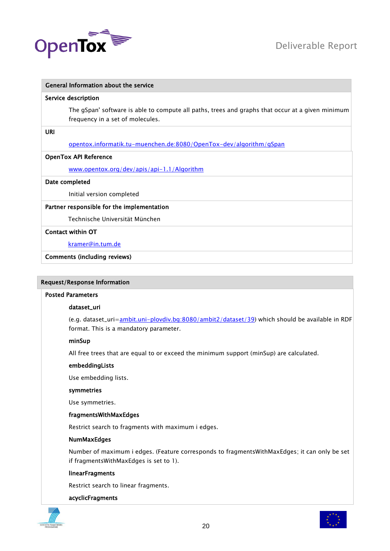

# General Information about the service

#### Service description

The gSpan' software is able to compute all paths, trees and graphs that occur at a given minimum frequency in a set of molecules.

URI

[opentox.informatik.tu-muenchen.de:8080/OpenTox-dev/algorithm/gSpan](http://opentox.informatik.tu-muenchen.de:8080/OpenTox-dev/algorithm/gSpan)

#### OpenTox API Reference

[www.opentox.org/dev/apis/api-1.1/Algorithm](http://www.opentox.org/dev/apis/api-1.1/Algorithm)

#### Date completed

Initial version completed

#### Partner responsible for the implementation

Technische Universität München

#### Contact within OT

[kramer@in.tum.de](mailto:kramer@in.tum.de)

Comments (including reviews)

# Request/Response Information

#### Posted Parameters

#### dataset\_uri

(e.g. dataset\_uri[=ambit.uni-plovdiv.bg:8080/ambit2/dataset/39\)](http://ambit.uni-plovdiv.bg:8080/ambit2/dataset/39) which should be available in RDF format. This is a mandatory parameter.

#### minSup

All free trees that are equal to or exceed the minimum support (minSup) are calculated.

#### embeddingLists

Use embedding lists.

#### symmetries

Use symmetries.

#### fragmentsWithMaxEdges

Restrict search to fragments with maximum i edges.

# NumMaxEdges

Number of maximum i edges. (Feature corresponds to fragmentsWithMaxEdges; it can only be set if fragmentsWithMaxEdges is set to 1).

#### linearFragments

Restrict search to linear fragments.

#### acyclicFragments



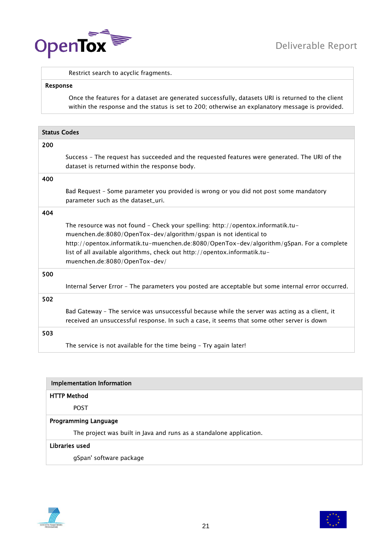

Restrict search to acyclic fragments.

#### Response

Once the features for a dataset are generated successfully, datasets URI is returned to the client within the response and the status is set to 200; otherwise an explanatory message is provided.

| <b>Status Codes</b>                |                                                                                                                                                                                                                                                                                                                               |  |
|------------------------------------|-------------------------------------------------------------------------------------------------------------------------------------------------------------------------------------------------------------------------------------------------------------------------------------------------------------------------------|--|
| 200                                |                                                                                                                                                                                                                                                                                                                               |  |
|                                    | Success - The request has succeeded and the requested features were generated. The URI of the<br>dataset is returned within the response body.                                                                                                                                                                                |  |
| 400                                |                                                                                                                                                                                                                                                                                                                               |  |
| parameter such as the dataset_uri. | Bad Request - Some parameter you provided is wrong or you did not post some mandatory                                                                                                                                                                                                                                         |  |
| 404                                |                                                                                                                                                                                                                                                                                                                               |  |
| muenchen.de:8080/OpenTox-dev/      | The resource was not found - Check your spelling: http://opentox.informatik.tu-<br>muenchen.de:8080/OpenTox-dev/algorithm/gspan is not identical to<br>http://opentox.informatik.tu-muenchen.de:8080/OpenTox-dev/algorithm/gSpan. For a complete<br>list of all available algorithms, check out http://opentox.informatik.tu- |  |
| 500                                |                                                                                                                                                                                                                                                                                                                               |  |
|                                    | Internal Server Error - The parameters you posted are acceptable but some internal error occurred.                                                                                                                                                                                                                            |  |
| 502                                |                                                                                                                                                                                                                                                                                                                               |  |
|                                    | Bad Gateway - The service was unsuccessful because while the server was acting as a client, it<br>received an unsuccessful response. In such a case, it seems that some other server is down                                                                                                                                  |  |
| 503                                |                                                                                                                                                                                                                                                                                                                               |  |
|                                    | The service is not available for the time being - Try again later!                                                                                                                                                                                                                                                            |  |

| <b>Implementation Information</b>                                   |  |  |
|---------------------------------------------------------------------|--|--|
| <b>HTTP Method</b>                                                  |  |  |
| <b>POST</b>                                                         |  |  |
| <b>Programming Language</b>                                         |  |  |
| The project was built in Java and runs as a standalone application. |  |  |
| Libraries used                                                      |  |  |
| gSpan' software package                                             |  |  |



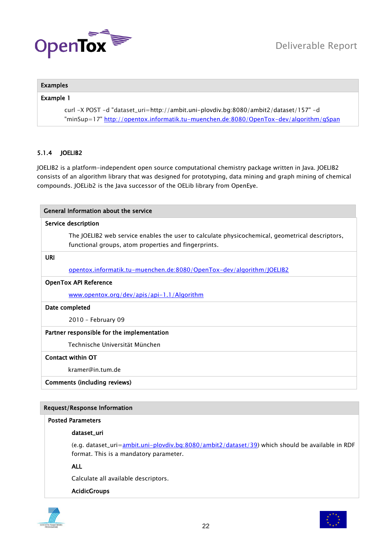

# Examples

# Example 1

curl -X POST -d "dataset\_uri=http://ambit.uni-plovdiv.bg:8080/ambit2/dataset/157" -d "minSup=17"<http://opentox.informatik.tu-muenchen.de:8080/OpenTox-dev/algorithm/gSpan>

# <span id="page-21-0"></span>5.1.4 JOELIB2

JOELIB2 is a platform-independent open source computational chemistry package written in Java. JOELIB2 consists of an algorithm library that was designed for prototyping, data mining and graph mining of chemical compounds. JOELib2 is the Java successor of the OELib library from OpenEye.

| General Information about the service                                                                                                                   |  |
|---------------------------------------------------------------------------------------------------------------------------------------------------------|--|
| Service description                                                                                                                                     |  |
| The JOELIB2 web service enables the user to calculate physicochemical, geometrical descriptors,<br>functional groups, atom properties and fingerprints. |  |
| <b>URI</b>                                                                                                                                              |  |
| opentox.informatik.tu-muenchen.de:8080/OpenTox-dev/algorithm/JOELIB2                                                                                    |  |
| <b>OpenTox API Reference</b>                                                                                                                            |  |
| www.opentox.org/dev/apis/api-1.1/Algorithm                                                                                                              |  |
| Date completed                                                                                                                                          |  |
| 2010 - February 09                                                                                                                                      |  |
| Partner responsible for the implementation                                                                                                              |  |
| Technische Universität München                                                                                                                          |  |
| Contact within OT                                                                                                                                       |  |
| kramer@in.tum.de                                                                                                                                        |  |
| <b>Comments (including reviews)</b>                                                                                                                     |  |

# Request/Response Information

#### Posted Parameters

# dataset\_uri

(e.g. dataset\_uri[=ambit.uni-plovdiv.bg:8080/ambit2/dataset/39\)](http://ambit.uni-plovdiv.bg:8080/ambit2/dataset/39) which should be available in RDF format. This is a mandatory parameter.

ALL

Calculate all available descriptors.

#### AcidicGroups



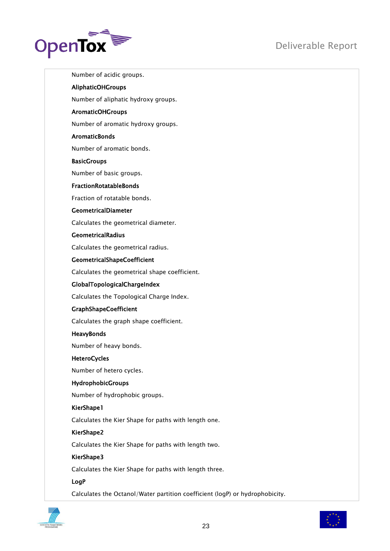

Number of acidic groups. AliphaticOHGroups Number of aliphatic hydroxy groups. AromaticOHGroups Number of aromatic hydroxy groups. **AromaticBonds** Number of aromatic bonds. **BasicGroups** Number of basic groups. FractionRotatableBonds Fraction of rotatable bonds. GeometricalDiameter Calculates the geometrical diameter. GeometricalRadius Calculates the geometrical radius. GeometricalShapeCoefficient Calculates the geometrical shape coefficient. GlobalTopologicalChargeIndex Calculates the Topological Charge Index. GraphShapeCoefficient Calculates the graph shape coefficient. HeavyBonds Number of heavy bonds. **HeteroCycles** Number of hetero cycles. HydrophobicGroups Number of hydrophobic groups. KierShape1 Calculates the Kier Shape for paths with length one. KierShape2 Calculates the Kier Shape for paths with length two. KierShape3 Calculates the Kier Shape for paths with length three. LogP

Calculates the Octanol/Water partition coefficient (logP) or hydrophobicity.

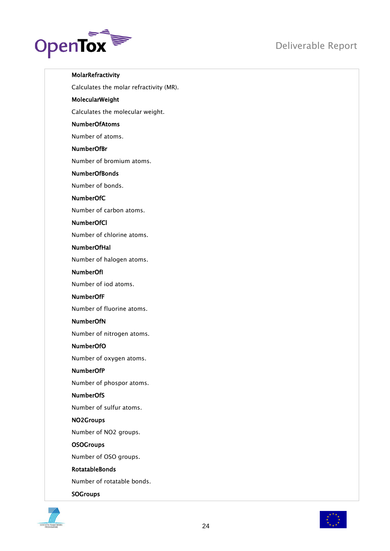



MolarRefractivity

Calculates the molar refractivity (MR).

# MolecularWeight

Calculates the molecular weight.

# NumberOfAtoms

Number of atoms.

# NumberOfBr

Number of bromium atoms.

# NumberOfBonds

Number of bonds.

# NumberOfC

Number of carbon atoms.

# NumberOfCl

Number of chlorine atoms.

# NumberOfHal

Number of halogen atoms.

# NumberOfI

Number of iod atoms.

# NumberOfF

Number of fluorine atoms.

# NumberOfN

Number of nitrogen atoms.

# NumberOfO

Number of oxygen atoms.

# NumberOfP

Number of phospor atoms.

#### NumberOfS

Number of sulfur atoms.

# NO2Groups

Number of NO2 groups.

#### **OSOGroups**

Number of OSO groups.

# RotatableBonds

Number of rotatable bonds.

#### **SOGroups**



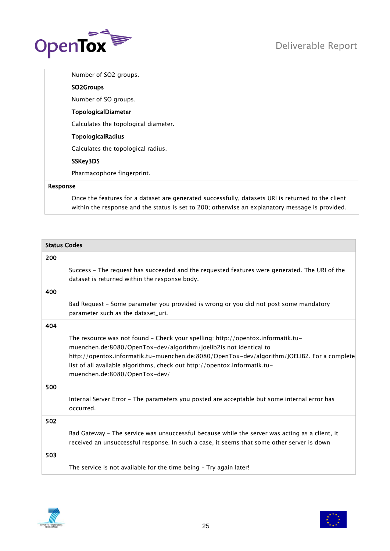

Number of SO2 groups.

# SO2Groups

Number of SO groups.

# TopologicalDiameter

Calculates the topological diameter.

# TopologicalRadius

Calculates the topological radius.

# SSKey3DS

Pharmacophore fingerprint.

# Response

Once the features for a dataset are generated successfully, datasets URI is returned to the client within the response and the status is set to 200; otherwise an explanatory message is provided.

|     | <b>Status Codes</b>                                                                                                                                                                                                                                                                                                                                               |  |
|-----|-------------------------------------------------------------------------------------------------------------------------------------------------------------------------------------------------------------------------------------------------------------------------------------------------------------------------------------------------------------------|--|
| 200 |                                                                                                                                                                                                                                                                                                                                                                   |  |
|     | Success - The request has succeeded and the requested features were generated. The URI of the<br>dataset is returned within the response body.                                                                                                                                                                                                                    |  |
| 400 |                                                                                                                                                                                                                                                                                                                                                                   |  |
|     | Bad Request - Some parameter you provided is wrong or you did not post some mandatory<br>parameter such as the dataset_uri.                                                                                                                                                                                                                                       |  |
| 404 |                                                                                                                                                                                                                                                                                                                                                                   |  |
|     | The resource was not found - Check your spelling: http://opentox.informatik.tu-<br>muenchen.de:8080/OpenTox-dev/algorithm/joelib2is not identical to<br>http://opentox.informatik.tu-muenchen.de:8080/OpenTox-dev/algorithm/JOELIB2. For a complete<br>list of all available algorithms, check out http://opentox.informatik.tu-<br>muenchen.de:8080/OpenTox-dev/ |  |
| 500 |                                                                                                                                                                                                                                                                                                                                                                   |  |
|     | Internal Server Error - The parameters you posted are acceptable but some internal error has<br>occurred.                                                                                                                                                                                                                                                         |  |
| 502 |                                                                                                                                                                                                                                                                                                                                                                   |  |
|     | Bad Gateway - The service was unsuccessful because while the server was acting as a client, it<br>received an unsuccessful response. In such a case, it seems that some other server is down                                                                                                                                                                      |  |
| 503 |                                                                                                                                                                                                                                                                                                                                                                   |  |
|     | The service is not available for the time being - Try again later!                                                                                                                                                                                                                                                                                                |  |



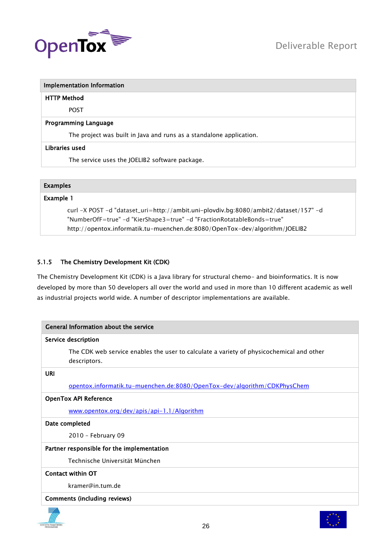

| Implementation Information |
|----------------------------|
| HTTP Method                |

POST

# Programming Language

The project was built in Java and runs as a standalone application.

# Libraries used

The service uses the JOELIB2 software package.

# Examples

# Example 1

curl -X POST -d "dataset\_uri=http://ambit.uni-plovdiv.bg:8080/ambit2/dataset/157" -d "NumberOfF=true" -d "KierShape3=true" -d "FractionRotatableBonds=true" http://opentox.informatik.tu-muenchen.de:8080/OpenTox-dev/algorithm/JOELIB2

# <span id="page-25-0"></span>5.1.5 The Chemistry Development Kit (CDK)

The Chemistry Development Kit (CDK) is a Java library for structural chemo- and bioinformatics. It is now developed by more than 50 developers all over the world and used in more than 10 different academic as well as industrial projects world wide. A number of descriptor implementations are available.

| General Information about the service                                                                    |  |
|----------------------------------------------------------------------------------------------------------|--|
| Service description                                                                                      |  |
| The CDK web service enables the user to calculate a variety of physicochemical and other<br>descriptors. |  |
| <b>URI</b>                                                                                               |  |
| opentox.informatik.tu-muenchen.de:8080/OpenTox-dev/algorithm/CDKPhysChem                                 |  |
| <b>OpenTox API Reference</b>                                                                             |  |
| www.opentox.org/dev/apis/api-1.1/Algorithm                                                               |  |
| Date completed                                                                                           |  |
| 2010 - February 09                                                                                       |  |
| Partner responsible for the implementation                                                               |  |
| Technische Universität München                                                                           |  |
| Contact within OT                                                                                        |  |
| kramer@in.tum.de                                                                                         |  |
| Comments (including reviews)                                                                             |  |



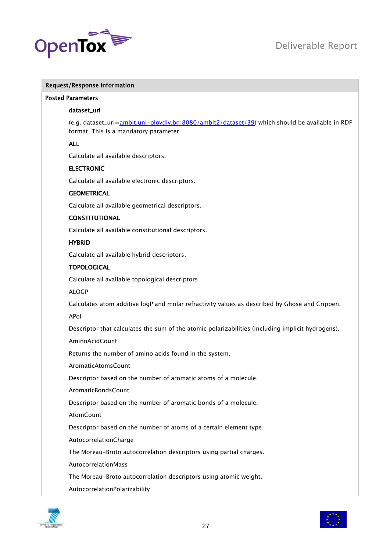

# Request/Response Information

# Posted Parameters

#### dataset\_uri

(e.g. dataset\_uri[=ambit.uni-plovdiv.bg:8080/ambit2/dataset/39\)](http://ambit.uni-plovdiv.bg:8080/ambit2/dataset/39) which should be available in RDF format. This is a mandatory parameter.

# ALL

Calculate all available descriptors.

#### ELECTRONIC

Calculate all available electronic descriptors.

# **GEOMETRICAL**

Calculate all available geometrical descriptors.

# **CONSTITUTIONAL**

Calculate all available constitutional descriptors.

# HYBRID

Calculate all available hybrid descriptors.

#### **TOPOLOGICAL**

Calculate all available topological descriptors.

ALOGP

Calculates atom additive logP and molar refractivity values as described by Ghose and Crippen.

APol

Descriptor that calculates the sum of the atomic polarizabilities (including implicit hydrogens).

AminoAcidCount

Returns the number of amino acids found in the system.

AromaticAtomsCount

Descriptor based on the number of aromatic atoms of a molecule.

AromaticBondsCount

Descriptor based on the number of aromatic bonds of a molecule.

**AtomCount** 

Descriptor based on the number of atoms of a certain element type.

AutocorrelationCharge

The Moreau-Broto autocorrelation descriptors using partial charges.

AutocorrelationMass

The Moreau-Broto autocorrelation descriptors using atomic weight.

AutocorrelationPolarizability



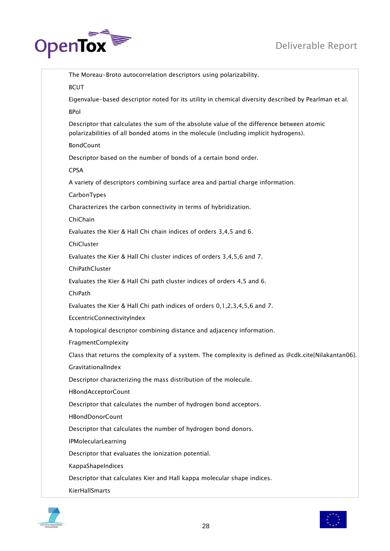# Deliverable Report



| The Moreau-Broto autocorrelation descriptors using polarizability.                                                                                                                |
|-----------------------------------------------------------------------------------------------------------------------------------------------------------------------------------|
| <b>BCUT</b>                                                                                                                                                                       |
| Eigenvalue-based descriptor noted for its utility in chemical diversity described by Pearlman et al.                                                                              |
| <b>BPol</b>                                                                                                                                                                       |
| Descriptor that calculates the sum of the absolute value of the difference between atomic<br>polarizabilities of all bonded atoms in the molecule (including implicit hydrogens). |
| <b>BondCount</b>                                                                                                                                                                  |
| Descriptor based on the number of bonds of a certain bond order.                                                                                                                  |
| <b>CPSA</b>                                                                                                                                                                       |
| A variety of descriptors combining surface area and partial charge information.                                                                                                   |
| CarbonTypes                                                                                                                                                                       |
| Characterizes the carbon connectivity in terms of hybridization.                                                                                                                  |
| ChiChain                                                                                                                                                                          |
| Evaluates the Kier & Hall Chi chain indices of orders 3,4,5 and 6.                                                                                                                |
| ChiCluster                                                                                                                                                                        |
| Evaluates the Kier & Hall Chi cluster indices of orders 3,4,5,6 and 7.                                                                                                            |
| ChiPathCluster                                                                                                                                                                    |
| Evaluates the Kier & Hall Chi path cluster indices of orders 4,5 and 6.                                                                                                           |
| ChiPath                                                                                                                                                                           |
| Evaluates the Kier & Hall Chi path indices of orders 0,1,2,3,4,5,6 and 7.                                                                                                         |
| EccentricConnectivityIndex                                                                                                                                                        |
| A topological descriptor combining distance and adjacency information.                                                                                                            |
| FragmentComplexity                                                                                                                                                                |
| Class that returns the complexity of a system. The complexity is defined as @cdk.cite{Nilakantan06}.                                                                              |
| GravitationalIndex                                                                                                                                                                |
| Descriptor characterizing the mass distribution of the molecule.                                                                                                                  |
| HBondAcceptorCount                                                                                                                                                                |
| Descriptor that calculates the number of hydrogen bond acceptors.                                                                                                                 |
| <b>HBondDonorCount</b>                                                                                                                                                            |
| Descriptor that calculates the number of hydrogen bond donors.                                                                                                                    |
| <b>IPMolecularLearning</b>                                                                                                                                                        |
| Descriptor that evaluates the ionization potential.                                                                                                                               |
| KappaShapeIndices                                                                                                                                                                 |
| Descriptor that calculates Kier and Hall kappa molecular shape indices.                                                                                                           |
| KierHallSmarts                                                                                                                                                                    |



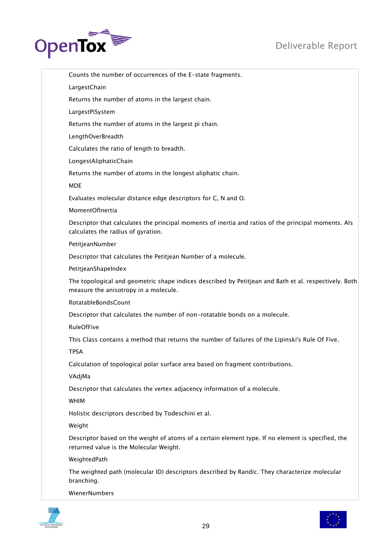

Counts the number of occurrences of the E-state fragments. LargestChain Returns the number of atoms in the largest chain. LargestPiSystem Returns the number of atoms in the largest pi chain. LengthOverBreadth Calculates the ratio of length to breadth. LongestAliphaticChain Returns the number of atoms in the longest aliphatic chain. MDE Evaluates molecular distance edge descriptors for C, N and O. MomentOfInertia Descriptor that calculates the principal moments of inertia and ratios of the principal moments. Als calculates the radius of gyration. PetitjeanNumber Descriptor that calculates the Petitjean Number of a molecule. PetitjeanShapeIndex The topological and geometric shape indices described by Petitjean and Bath et al. respectively. Both measure the anisotropy in a molecule. RotatableBondsCount Descriptor that calculates the number of non-rotatable bonds on a molecule. RuleOfFive This Class contains a method that returns the number of failures of the Lipinski's Rule Of Five. TPSA Calculation of topological polar surface area based on fragment contributions. VAdjMa Descriptor that calculates the vertex adjacency information of a molecule. WHIM Holistic descriptors described by Todeschini et al. Weight Descriptor based on the weight of atoms of a certain element type. If no element is specified, the returned value is the Molecular Weight. WeightedPath The weighted path (molecular ID) descriptors described by Randic. They characterize molecular branching. WienerNumbers



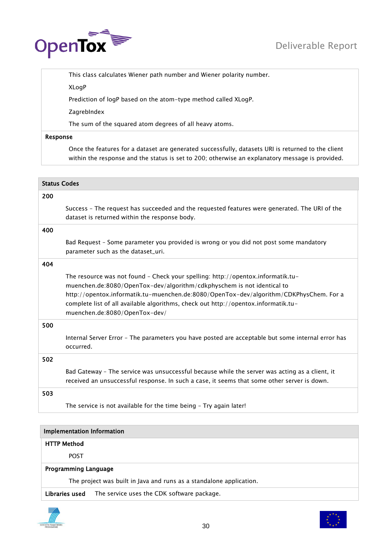

This class calculates Wiener path number and Wiener polarity number.

XLogP

Prediction of logP based on the atom-type method called XLogP.

ZagrebIndex

The sum of the squared atom degrees of all heavy atoms.

# Response

Once the features for a dataset are generated successfully, datasets URI is returned to the client within the response and the status is set to 200; otherwise an explanatory message is provided.

| <b>Status Codes</b> |                                                                                                                                                                                                                                                                                                                                                                            |
|---------------------|----------------------------------------------------------------------------------------------------------------------------------------------------------------------------------------------------------------------------------------------------------------------------------------------------------------------------------------------------------------------------|
| 200                 |                                                                                                                                                                                                                                                                                                                                                                            |
|                     | Success - The request has succeeded and the requested features were generated. The URI of the<br>dataset is returned within the response body.                                                                                                                                                                                                                             |
| 400                 |                                                                                                                                                                                                                                                                                                                                                                            |
|                     | Bad Request - Some parameter you provided is wrong or you did not post some mandatory<br>parameter such as the dataset_uri.                                                                                                                                                                                                                                                |
| 404                 |                                                                                                                                                                                                                                                                                                                                                                            |
|                     | The resource was not found - Check your spelling: http://opentox.informatik.tu-<br>muenchen.de:8080/OpenTox-dev/algorithm/cdkphyschem is not identical to<br>http://opentox.informatik.tu-muenchen.de:8080/OpenTox-dev/algorithm/CDKPhysChem. For a<br>complete list of all available algorithms, check out http://opentox.informatik.tu-<br>muenchen.de:8080/OpenTox-dev/ |
| 500                 |                                                                                                                                                                                                                                                                                                                                                                            |
|                     | Internal Server Error - The parameters you have posted are acceptable but some internal error has<br>occurred.                                                                                                                                                                                                                                                             |
| 502                 |                                                                                                                                                                                                                                                                                                                                                                            |
|                     | Bad Gateway - The service was unsuccessful because while the server was acting as a client, it<br>received an unsuccessful response. In such a case, it seems that some other server is down.                                                                                                                                                                              |
| 503                 |                                                                                                                                                                                                                                                                                                                                                                            |
|                     | The service is not available for the time being - Try again later!                                                                                                                                                                                                                                                                                                         |
|                     |                                                                                                                                                                                                                                                                                                                                                                            |
|                     | <b>Implementation Information</b>                                                                                                                                                                                                                                                                                                                                          |
|                     | <b>HTTP Method</b>                                                                                                                                                                                                                                                                                                                                                         |
|                     | <b>POST</b>                                                                                                                                                                                                                                                                                                                                                                |
|                     | <b>Programming Language</b>                                                                                                                                                                                                                                                                                                                                                |

The project was built in Java and runs as a standalone application.

Libraries used The service uses the CDK software package.



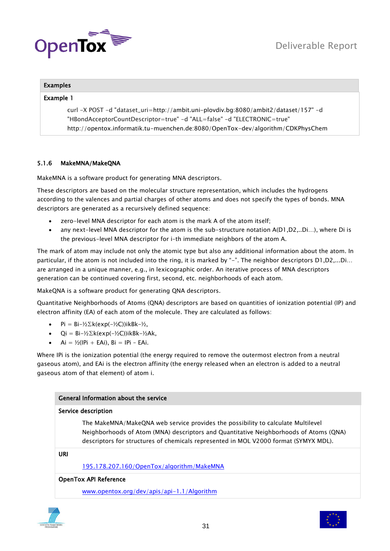

# Examples

# Example 1

curl -X POST -d "dataset\_uri=http://ambit.uni-plovdiv.bg:8080/ambit2/dataset/157" -d "HBondAcceptorCountDescriptor=true" -d "ALL=false" -d "ELECTRONIC=true" http://opentox.informatik.tu-muenchen.de:8080/OpenTox-dev/algorithm/CDKPhysChem

# <span id="page-30-0"></span>5.1.6 MakeMNA/MakeQNA

MakeMNA is a software product for generating MNA descriptors.

These descriptors are based on the molecular structure representation, which includes the hydrogens according to the valences and partial charges of other atoms and does not specify the types of bonds. MNA descriptors are generated as a recursively defined sequence:

- zero-level MNA descriptor for each atom is the mark A of the atom itself;
- any next-level MNA descriptor for the atom is the sub-structure notation A(D1,D2,..Di…), where Di is the previous-level MNA descriptor for i–th immediate neighbors of the atom A.

The mark of atom may include not only the atomic type but also any additional information about the atom. In particular, if the atom is not included into the ring, it is marked by "-". The neighbor descriptors D1,D2,...Di... are arranged in a unique manner, e.g., in lexicographic order. An iterative process of MNA descriptors generation can be continued covering first, second, etc. neighborhoods of each atom.

MakeQNA is a software product for generating QNA descriptors.

Quantitative Neighborhoods of Atoms (QNA) descriptors are based on quantities of ionization potential (IP) and electron affinity (EA) of each atom of the molecule. They are calculated as follows:

- Pi = Bi- $\frac{1}{2}$ k(exp(- $\frac{1}{2}$ C))ikBk- $\frac{1}{2}$ ,
- Qi =  $Bi-\frac{1}{2}E$ k(exp(- $\frac{1}{2}C$ ))ikBk- $\frac{1}{2}Ak$ ,
- $\bullet$  Ai = ½(IPi + EAi), Bi = IPi EAi.

Where IPi is the ionization potential (the energy required to remove the outermost electron from a neutral gaseous atom), and EAi is the electron affinity (the energy released when an electron is added to a neutral gaseous atom of that element) of atom i.

# General Information about the service

# Service description

The MakeMNA/MakeQNA web service provides the possibility to calculate Multilevel Neighborhoods of Atom (MNA) descriptors and Quantitative Neighborhoods of Atoms (QNA) descriptors for structures of chemicals represented in MOL V2000 format (SYMYX MDL).

#### URI

[195.178.207.160/OpenTox/algorithm/MakeMNA](http://195.178.207.160/OpenTox/algorithm/MakeMNA)

# OpenTox API Reference

[www.opentox.org/dev/apis/api-1.1/Algorithm](http://www.opentox.org/dev/apis/api-1.1/Algorithm) 



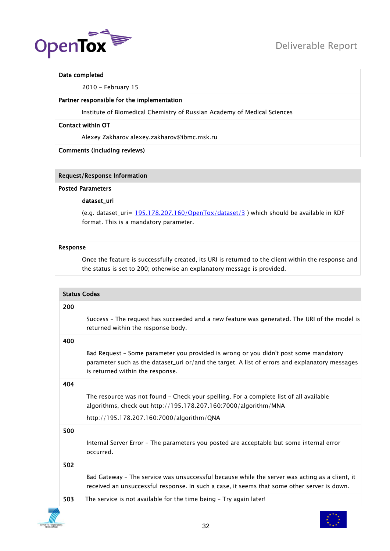

# Date completed

2010 - February 15

# Partner responsible for the implementation

Institute of Biomedical Chemistry of Russian Academy of Medical Sciences

# Contact within OT

Alexey Zakharov alexey.zakharov@ibmc.msk.ru

# Comments (including reviews)

# Request/Response Information

#### Posted Parameters

# dataset\_uri

(e.g. dataset\_uri=  $195.178.207.160$ /OpenTox/dataset/3) which should be available in RDF format. This is a mandatory parameter.

# Response

Once the feature is successfully created, its URI is returned to the client within the response and the status is set to 200; otherwise an explanatory message is provided.

| <b>Status Codes</b> |                                                                                                                                                                                                                            |  |
|---------------------|----------------------------------------------------------------------------------------------------------------------------------------------------------------------------------------------------------------------------|--|
| 200                 |                                                                                                                                                                                                                            |  |
|                     | Success - The request has succeeded and a new feature was generated. The URI of the model is<br>returned within the response body.                                                                                         |  |
| 400                 |                                                                                                                                                                                                                            |  |
|                     | Bad Request - Some parameter you provided is wrong or you didn't post some mandatory<br>parameter such as the dataset_uri or/and the target. A list of errors and explanatory messages<br>is returned within the response. |  |
| 404                 |                                                                                                                                                                                                                            |  |
|                     | The resource was not found - Check your spelling. For a complete list of all available<br>algorithms, check out http://195.178.207.160:7000/algorithm/MNA                                                                  |  |
|                     | http://195.178.207.160:7000/algorithm/QNA                                                                                                                                                                                  |  |
| 500                 |                                                                                                                                                                                                                            |  |
|                     | Internal Server Error - The parameters you posted are acceptable but some internal error<br>occurred.                                                                                                                      |  |
| 502                 |                                                                                                                                                                                                                            |  |
|                     | Bad Gateway - The service was unsuccessful because while the server was acting as a client, it<br>received an unsuccessful response. In such a case, it seems that some other server is down.                              |  |
| 503                 | The service is not available for the time being - Try again later!                                                                                                                                                         |  |
|                     |                                                                                                                                                                                                                            |  |

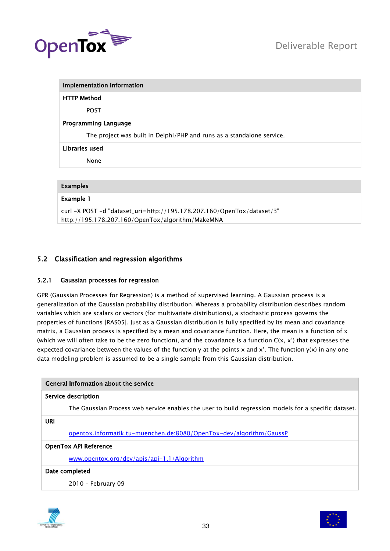

| <b>Implementation Information</b>                                      |
|------------------------------------------------------------------------|
| <b>HTTP Method</b>                                                     |
| <b>POST</b>                                                            |
| <b>Programming Language</b>                                            |
| The project was built in Delphi/PHP and runs as a standalone service.  |
| Libraries used                                                         |
| None                                                                   |
|                                                                        |
| <b>Examples</b>                                                        |
| <b>Example 1</b>                                                       |
| curl -X POST -d "dataset_uri=http://195.178.207.160/OpenTox/dataset/3" |
| http://195.178.207.160/OpenTox/algorithm/MakeMNA                       |

# <span id="page-32-1"></span><span id="page-32-0"></span>5.2 Classification and regression algorithms

# 5.2.1 Gaussian processes for regression

GPR (Gaussian Processes for Regression) is a method of supervised learning. A Gaussian process is a generalization of the Gaussian probability distribution. Whereas a probability distribution describes random variables which are scalars or vectors (for multivariate distributions), a stochastic process governs the properties of functions [RAS05]. Just as a Gaussian distribution is fully specified by its mean and covariance matrix, a Gaussian process is specified by a mean and covariance function. Here, the mean is a function of  $x$ (which we will often take to be the zero function), and the covariance is a function  $C(x, x')$  that expresses the expected covariance between the values of the function y at the points x and x'. The function  $y(x)$  in any one data modeling problem is assumed to be a single sample from this Gaussian distribution.

| General Information about the service                                                                |  |
|------------------------------------------------------------------------------------------------------|--|
| Service description                                                                                  |  |
| The Gaussian Process web service enables the user to build regression models for a specific dataset. |  |
| URI                                                                                                  |  |
| opentox.informatik.tu-muenchen.de:8080/OpenTox-dev/algorithm/GaussP                                  |  |
| <b>OpenTox API Reference</b>                                                                         |  |
| www.opentox.org/dev/apis/api-1.1/Algorithm                                                           |  |
| Date completed                                                                                       |  |
| 2010 - February 09                                                                                   |  |



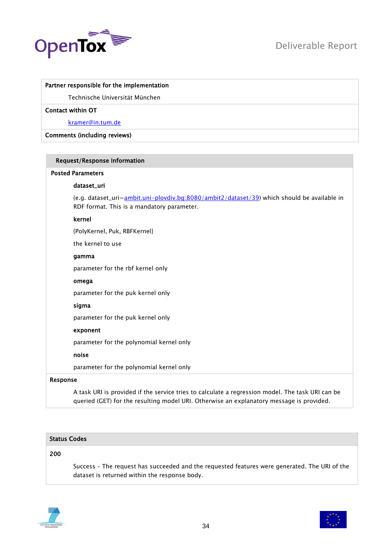

# Partner responsible for the implementation

Technische Universität München

# Contact within OT

[kramer@in.tum.de](mailto:kramer@in.tum.de)

# Comments (including reviews)

| <b>Request/Response Information</b>                                                                                                                                                                                               |  |
|-----------------------------------------------------------------------------------------------------------------------------------------------------------------------------------------------------------------------------------|--|
| <b>Posted Parameters</b>                                                                                                                                                                                                          |  |
| dataset_uri                                                                                                                                                                                                                       |  |
| (e.g. dataset_uri= <u>ambit.uni-plovdiv.bq:8080/ambit2/dataset/39</u> ) which should be available in<br>RDF format. This is a mandatory parameter.                                                                                |  |
| kernel                                                                                                                                                                                                                            |  |
| {PolyKernel, Puk, RBFKernel}                                                                                                                                                                                                      |  |
| the kernel to use                                                                                                                                                                                                                 |  |
| gamma                                                                                                                                                                                                                             |  |
| parameter for the rbf kernel only                                                                                                                                                                                                 |  |
| omega                                                                                                                                                                                                                             |  |
| parameter for the puk kernel only                                                                                                                                                                                                 |  |
| sigma                                                                                                                                                                                                                             |  |
| parameter for the puk kernel only                                                                                                                                                                                                 |  |
| exponent                                                                                                                                                                                                                          |  |
| parameter for the polynomial kernel only                                                                                                                                                                                          |  |
| noise                                                                                                                                                                                                                             |  |
| parameter for the polynomial kernel only                                                                                                                                                                                          |  |
| Response                                                                                                                                                                                                                          |  |
| $\mathbf{A}$ and the contract of the contract of the contract of the contract of the state of the contract of the contract of the contract of the contract of the contract of the contract of the contract of the contract of the |  |

A task URI is provided if the service tries to calculate a regression model. The task URI can be queried (GET) for the resulting model URI. Otherwise an explanatory message is provided.

# Status Codes

# 200

Success – The request has succeeded and the requested features were generated. The URI of the dataset is returned within the response body.



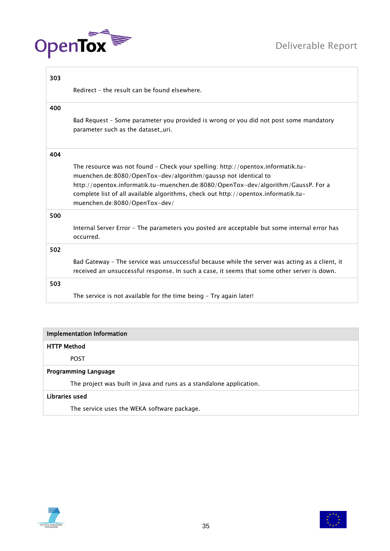



| 303                |                                                                                                                                                                                                                                                                                                                                                               |
|--------------------|---------------------------------------------------------------------------------------------------------------------------------------------------------------------------------------------------------------------------------------------------------------------------------------------------------------------------------------------------------------|
|                    | Redirect - the result can be found elsewhere.                                                                                                                                                                                                                                                                                                                 |
| 400                |                                                                                                                                                                                                                                                                                                                                                               |
|                    | Bad Request - Some parameter you provided is wrong or you did not post some mandatory<br>parameter such as the dataset_uri.                                                                                                                                                                                                                                   |
| 404                |                                                                                                                                                                                                                                                                                                                                                               |
|                    | The resource was not found - Check your spelling: http://opentox.informatik.tu-<br>muenchen.de:8080/OpenTox-dev/algorithm/gaussp not identical to<br>http://opentox.informatik.tu-muenchen.de:8080/OpenTox-dev/algorithm/GaussP. For a<br>complete list of all available algorithms, check out http://opentox.informatik.tu-<br>muenchen.de:8080/OpenTox-dev/ |
| 500                | Internal Server Error - The parameters you posted are acceptable but some internal error has<br>occurred.                                                                                                                                                                                                                                                     |
| 502                |                                                                                                                                                                                                                                                                                                                                                               |
|                    | Bad Gateway - The service was unsuccessful because while the server was acting as a client, it<br>received an unsuccessful response. In such a case, it seems that some other server is down.                                                                                                                                                                 |
| 503                |                                                                                                                                                                                                                                                                                                                                                               |
|                    | The service is not available for the time being - Try again later!                                                                                                                                                                                                                                                                                            |
|                    |                                                                                                                                                                                                                                                                                                                                                               |
|                    | <b>Implementation Information</b>                                                                                                                                                                                                                                                                                                                             |
| <b>HTTP Method</b> |                                                                                                                                                                                                                                                                                                                                                               |
|                    | <b>POST</b>                                                                                                                                                                                                                                                                                                                                                   |
|                    | <b>Programming Language</b>                                                                                                                                                                                                                                                                                                                                   |
|                    | The project was built in Java and runs as a standalone application.                                                                                                                                                                                                                                                                                           |
|                    |                                                                                                                                                                                                                                                                                                                                                               |

# Libraries used

The service uses the WEKA software package.



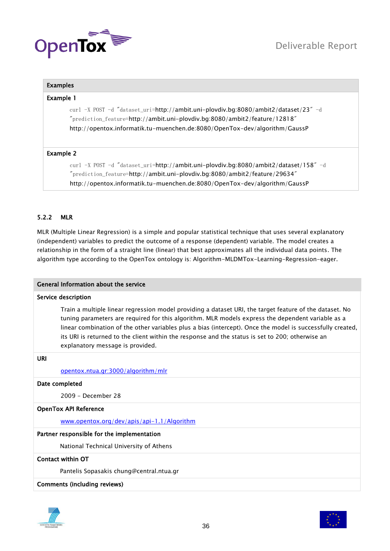

# Examples

# Example 1

curl -X POST -d "dataset\_uri=http://ambit.uni-plovdiv.bg:8080/ambit2/dataset/23" -d "prediction\_feature=http://ambit.uni-plovdiv.bg:8080/ambit2/feature/12818" http://opentox.informatik.tu-muenchen.de:8080/OpenTox-dev/algorithm/GaussP

# Example 2

curl -X POST -d "dataset\_uri=http://ambit.uni-plovdiv.bg:8080/ambit2/dataset/158" -d "prediction\_feature=http://ambit.uni-plovdiv.bg:8080/ambit2/feature/29634" http://opentox.informatik.tu-muenchen.de:8080/OpenTox-dev/algorithm/GaussP

# <span id="page-35-0"></span>5.2.2 MLR

MLR (Multiple Linear Regression) is a simple and popular statistical technique that uses several explanatory (independent) variables to predict the outcome of a response (dependent) variable. The model creates a relationship in the form of a straight line (linear) that best approximates all the individual data points. The algorithm type according to the OpenTox ontology is: Algorithm-MLDMTox-Learning-Regression-eager.

#### General Information about the service

# Service description

Train a multiple linear regression model providing a dataset URI, the target feature of the dataset. No tuning parameters are required for this algorithm. MLR models express the dependent variable as a linear combination of the other variables plus a bias (intercept). Once the model is successfully created, its URI is returned to the client within the response and the status is set to 200; otherwise an explanatory message is provided.

# URI

#### [opentox.ntua.gr:3000/algorithm/mlr](http://opentox.ntua.gr:3000/algorithm/mlr)

#### Date completed

2009 - December 28

#### OpenTox API Reference

[www.opentox.org/dev/apis/api-1.1/Algorithm](http://www.opentox.org/dev/apis/api-1.1/Algorithm) 

# Partner responsible for the implementation

National Technical University of Athens

# Contact within OT

Pantelis Sopasakis chung@central.ntua.gr

#### Comments (including reviews)



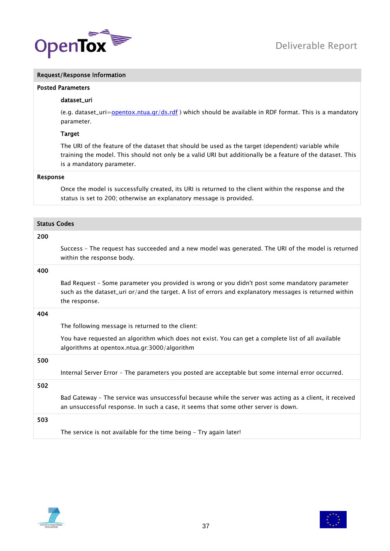

# Request/Response Information

#### Posted Parameters

#### dataset\_uri

(e.g. dataset\_uri[=opentox.ntua.gr/ds.rdf](http://opentox.ntua.gr/ds.rdf) ) which should be available in RDF format. This is a mandatory parameter.

#### Target

The URI of the feature of the dataset that should be used as the target (dependent) variable while training the model. This should not only be a valid URI but additionally be a feature of the dataset. This is a mandatory parameter.

# Response

Once the model is successfully created, its URI is returned to the client within the response and the status is set to 200; otherwise an explanatory message is provided.

| <b>Status Codes</b> |                                                                                                                                                                                                                            |
|---------------------|----------------------------------------------------------------------------------------------------------------------------------------------------------------------------------------------------------------------------|
| 200                 |                                                                                                                                                                                                                            |
|                     | Success - The request has succeeded and a new model was generated. The URI of the model is returned<br>within the response body.                                                                                           |
| 400                 |                                                                                                                                                                                                                            |
|                     | Bad Request - Some parameter you provided is wrong or you didn't post some mandatory parameter<br>such as the dataset_uri or/and the target. A list of errors and explanatory messages is returned within<br>the response. |
| 404                 |                                                                                                                                                                                                                            |
|                     | The following message is returned to the client:                                                                                                                                                                           |
|                     | You have requested an algorithm which does not exist. You can get a complete list of all available<br>algorithms at opentox.ntua.gr:3000/algorithm                                                                         |
| 500                 |                                                                                                                                                                                                                            |
|                     | Internal Server Error - The parameters you posted are acceptable but some internal error occurred.                                                                                                                         |
| 502                 |                                                                                                                                                                                                                            |
|                     | Bad Gateway - The service was unsuccessful because while the server was acting as a client, it received<br>an unsuccessful response. In such a case, it seems that some other server is down.                              |
| 503                 |                                                                                                                                                                                                                            |
|                     | The service is not available for the time being - Try again later!                                                                                                                                                         |



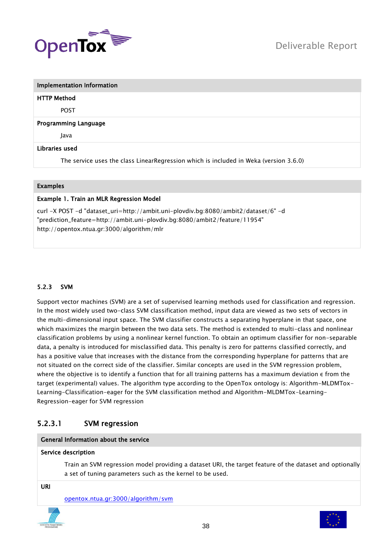

| <b>Implementation Information</b>                                                     |  |
|---------------------------------------------------------------------------------------|--|
| <b>HTTP Method</b>                                                                    |  |
| <b>POST</b>                                                                           |  |
| <b>Programming Language</b>                                                           |  |
| Java                                                                                  |  |
| Libraries used                                                                        |  |
| The service uses the class LinearRegression which is included in Weka (version 3.6.0) |  |

# Examples

# Example 1. Train an MLR Regression Model

curl -X POST -d "dataset\_uri=http://ambit.uni-plovdiv.bg:8080/ambit2/dataset/6" -d "prediction\_feature=http://ambit.uni-plovdiv.bg:8080/ambit2/feature/11954" http://opentox.ntua.gr:3000/algorithm/mlr

# 5.2.3 SVM

Support vector machines (SVM) are a set of supervised learning methods used for classification and regression. In the most widely used two-class SVM classification method, input data are viewed as two sets of vectors in the multi-dimensional input space. The SVM classifier constructs a separating hyperplane in that space, one which maximizes the margin between the two data sets. The method is extended to multi-class and nonlinear classification problems by using a nonlinear kernel function. To obtain an optimum classifier for non-separable data, a penalty is introduced for misclassified data. This penalty is zero for patterns classified correctly, and has a positive value that increases with the distance from the corresponding hyperplane for patterns that are not situated on the correct side of the classifier. Similar concepts are used in the SVM regression problem, where the objective is to identify a function that for all training patterns has a maximum deviation ε from the target (experimental) values. The algorithm type according to the OpenTox ontology is: Algorithm-MLDMTox-Learning-Classification-eager for the SVM classification method and Algorithm-MLDMTox-Learning-Regression-eager for SVM regression

# 5.2.3.1 SVM regression

#### General Information about the service

#### Service description

Train an SVM regression model providing a dataset URI, the target feature of the dataset and optionally a set of tuning parameters such as the kernel to be used.

URI

[opentox.ntua.gr:3000/algorithm/svm](http://opentox.ntua.gr:3000/algorithm/svm)



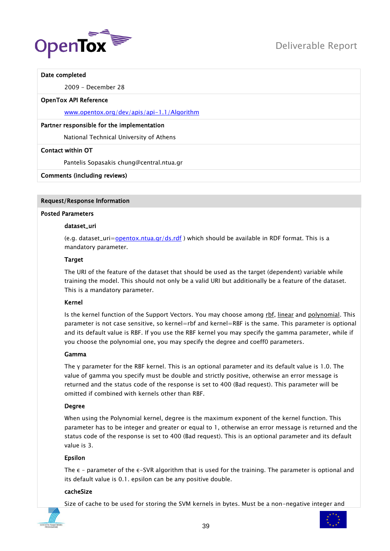

#### Date completed

2009 - December 28

#### OpenTox API Reference

[www.opentox.org/dev/apis/api-1.1/Algorithm](http://www.opentox.org/dev/apis/api-1.1/Algorithm) 

### Partner responsible for the implementation

National Technical University of Athens

#### Contact within OT

Pantelis Sopasakis chung@central.ntua.gr

#### Comments (including reviews)

#### Request/Response Information

#### Posted Parameters

#### dataset\_uri

(e.g. dataset\_uri= $operators.ntua.gr/ds.rdf$ ) which should be available in RDF format. This is a</u> mandatory parameter.

#### **Target**

The URI of the feature of the dataset that should be used as the target (dependent) variable while training the model. This should not only be a valid URI but additionally be a feature of the dataset. This is a mandatory parameter.

#### Kernel

Is the kernel function of the Support Vectors. You may choose among rbf, linear and polynomial. This parameter is not case sensitive, so kernel=rbf and kernel=RBF is the same. This parameter is optional and its default value is RBF. If you use the RBF kernel you may specify the gamma parameter, while if you choose the polynomial one, you may specify the degree and coeff0 parameters.

#### Gamma

The γ parameter for the RBF kernel. This is an optional parameter and its default value is 1.0. The value of gamma you specify must be double and strictly positive, otherwise an error message is returned and the status code of the response is set to 400 (Bad request). This parameter will be omitted if combined with kernels other than RBF.

#### Degree

When using the Polynomial kernel, degree is the maximum exponent of the kernel function. This parameter has to be integer and greater or equal to 1, otherwise an error message is returned and the status code of the response is set to 400 (Bad request). This is an optional parameter and its default value is 3.

#### Epsilon

The  $\epsilon$  - parameter of the  $\epsilon$ -SVR algorithm that is used for the training. The parameter is optional and its default value is 0.1. epsilon can be any positive double.

# cacheSize

Size of cache to be used for storing the SVM kernels in bytes. Must be a non-negative integer and

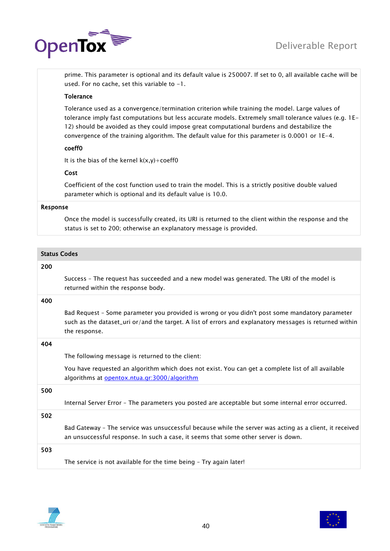

prime. This parameter is optional and its default value is 250007. If set to 0, all available cache will be used. For no cache, set this variable to  $-1$ .

# Tolerance

Tolerance used as a convergence/termination criterion while training the model. Large values of tolerance imply fast computations but less accurate models. Extremely small tolerance values (e.g. 1E-12) should be avoided as they could impose great computational burdens and destabilize the convergence of the training algorithm. The default value for this parameter is 0.0001 or 1E-4.

# coeff0

It is the bias of the kernel  $k(x,y)+$ coeff0

# Cost

Coefficient of the cost function used to train the model. This is a strictly positive double valued parameter which is optional and its default value is 10.0.

#### Response

Once the model is successfully created, its URI is returned to the client within the response and the status is set to 200; otherwise an explanatory message is provided.

| <b>Status Codes</b> |                                                                                                                                                                                                                            |
|---------------------|----------------------------------------------------------------------------------------------------------------------------------------------------------------------------------------------------------------------------|
| 200                 |                                                                                                                                                                                                                            |
|                     | Success - The request has succeeded and a new model was generated. The URI of the model is<br>returned within the response body.                                                                                           |
| 400                 |                                                                                                                                                                                                                            |
|                     | Bad Request - Some parameter you provided is wrong or you didn't post some mandatory parameter<br>such as the dataset_uri or/and the target. A list of errors and explanatory messages is returned within<br>the response. |
| 404                 |                                                                                                                                                                                                                            |
|                     | The following message is returned to the client:                                                                                                                                                                           |
|                     | You have requested an algorithm which does not exist. You can get a complete list of all available<br>algorithms at opentox.ntua.gr:3000/algorithm                                                                         |
| 500                 |                                                                                                                                                                                                                            |
|                     | Internal Server Error - The parameters you posted are acceptable but some internal error occurred.                                                                                                                         |
| 502                 |                                                                                                                                                                                                                            |
|                     | Bad Gateway - The service was unsuccessful because while the server was acting as a client, it received<br>an unsuccessful response. In such a case, it seems that some other server is down.                              |
| 503                 |                                                                                                                                                                                                                            |
|                     | The service is not available for the time being - Try again later!                                                                                                                                                         |
|                     |                                                                                                                                                                                                                            |



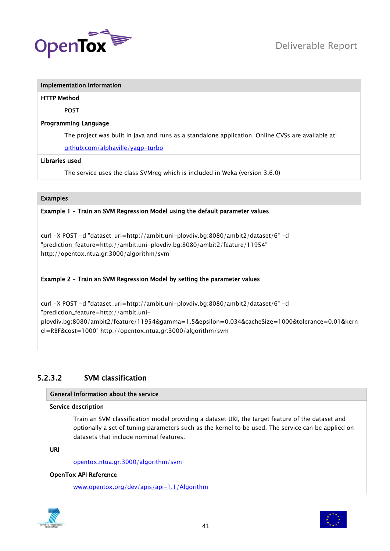

# HTTP Method

POST

# Programming Language

The project was built in Java and runs as a standalone application. Online CVSs are available at:

[github.com/alphaville/yaqp-turbo](http://github.com/alphaville/yaqp-turbo)

# Libraries used

The service uses the class SVMreg which is included in Weka (version 3.6.0)

# Examples

# Example 1 – Train an SVM Regression Model using the default parameter values

curl -X POST -d "dataset\_uri=http://ambit.uni-plovdiv.bg:8080/ambit2/dataset/6" -d "prediction\_feature=http://ambit.uni-plovdiv.bg:8080/ambit2/feature/11954" http://opentox.ntua.gr:3000/algorithm/svm

# Example 2 – Train an SVM Regression Model by setting the parameter values

curl -X POST -d "dataset\_uri=http://ambit.uni-plovdiv.bg:8080/ambit2/dataset/6" -d "prediction\_feature=http://ambit.uniplovdiv.bg:8080/ambit2/feature/11954&gamma=1.5&epsilon=0.034&cacheSize=1000&tolerance=0.01&kern el=RBF&cost=1000" http://opentox.ntua.gr:3000/algorithm/svm

# 5.2.3.2 SVM classification

# General Information about the service

# Service description

Train an SVM classification model providing a dataset URI, the target feature of the dataset and optionally a set of tuning parameters such as the kernel to be used. The service can be applied on datasets that include nominal features.

URI

[opentox.ntua.gr:3000/algorithm/svm](http://opentox.ntua.gr:3000/algorithm/svm)

# OpenTox API Reference

[www.opentox.org/dev/apis/api-1.1/Algorithm](http://www.opentox.org/dev/apis/api-1.1/Algorithm)



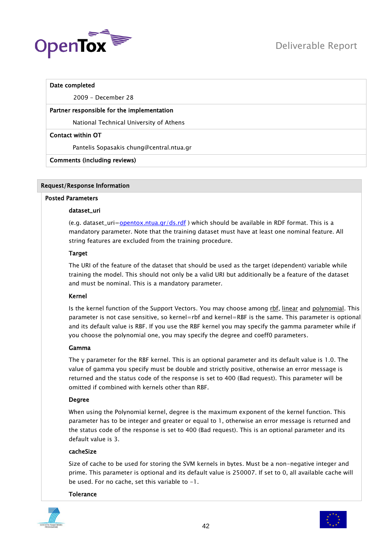

# Date completed

2009 - December 28

# Partner responsible for the implementation

National Technical University of Athens

# Contact within OT

Pantelis Sopasakis chung@central.ntua.gr

# Comments (including reviews)

# Request/Response Information

# Posted Parameters

# dataset\_uri

(e.g. dataset\_uri= $opentox.ntua.gr/ds.rdf$ ) which should be available in RDF format. This is a</u> mandatory parameter. Note that the training dataset must have at least one nominal feature. All string features are excluded from the training procedure.

# Target

The URI of the feature of the dataset that should be used as the target (dependent) variable while training the model. This should not only be a valid URI but additionally be a feature of the dataset and must be nominal. This is a mandatory parameter.

# Kernel

Is the kernel function of the Support Vectors. You may choose among rbf, linear and polynomial. This parameter is not case sensitive, so kernel=rbf and kernel=RBF is the same. This parameter is optional and its default value is RBF. If you use the RBF kernel you may specify the gamma parameter while if you choose the polynomial one, you may specify the degree and coeff0 parameters.

# Gamma

The γ parameter for the RBF kernel. This is an optional parameter and its default value is 1.0. The value of gamma you specify must be double and strictly positive, otherwise an error message is returned and the status code of the response is set to 400 (Bad request). This parameter will be omitted if combined with kernels other than RBF.

# Degree

When using the Polynomial kernel, degree is the maximum exponent of the kernel function. This parameter has to be integer and greater or equal to 1, otherwise an error message is returned and the status code of the response is set to 400 (Bad request). This is an optional parameter and its default value is 3.

# cacheSize

Size of cache to be used for storing the SVM kernels in bytes. Must be a non-negative integer and prime. This parameter is optional and its default value is 250007. If set to 0, all available cache will be used. For no cache, set this variable to -1.

# **Tolerance**



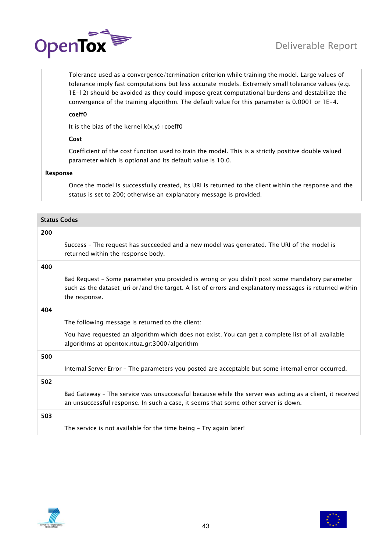

Tolerance used as a convergence/termination criterion while training the model. Large values of tolerance imply fast computations but less accurate models. Extremely small tolerance values (e.g. 1E-12) should be avoided as they could impose great computational burdens and destabilize the convergence of the training algorithm. The default value for this parameter is 0.0001 or 1E-4.

# coeff0

It is the bias of the kernel  $k(x,y)+\text{coeff}0$ 

# Cost

Coefficient of the cost function used to train the model. This is a strictly positive double valued parameter which is optional and its default value is 10.0.

#### Response

Once the model is successfully created, its URI is returned to the client within the response and the status is set to 200; otherwise an explanatory message is provided.

| 200<br>Success - The request has succeeded and a new model was generated. The URI of the model is<br>returned within the response body.                                                                                    |  |
|----------------------------------------------------------------------------------------------------------------------------------------------------------------------------------------------------------------------------|--|
|                                                                                                                                                                                                                            |  |
|                                                                                                                                                                                                                            |  |
| 400                                                                                                                                                                                                                        |  |
| Bad Request - Some parameter you provided is wrong or you didn't post some mandatory parameter<br>such as the dataset_uri or/and the target. A list of errors and explanatory messages is returned within<br>the response. |  |
| 404                                                                                                                                                                                                                        |  |
| The following message is returned to the client:                                                                                                                                                                           |  |
| You have requested an algorithm which does not exist. You can get a complete list of all available<br>algorithms at opentox.ntua.gr:3000/algorithm                                                                         |  |
| 500                                                                                                                                                                                                                        |  |
| Internal Server Error - The parameters you posted are acceptable but some internal error occurred.                                                                                                                         |  |
| 502                                                                                                                                                                                                                        |  |
| Bad Gateway - The service was unsuccessful because while the server was acting as a client, it received<br>an unsuccessful response. In such a case, it seems that some other server is down.                              |  |
| 503                                                                                                                                                                                                                        |  |
| The service is not available for the time being - Try again later!                                                                                                                                                         |  |



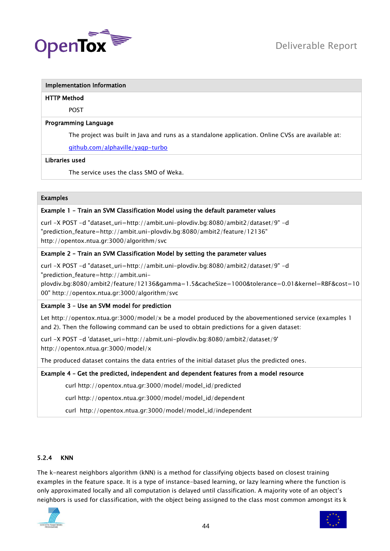

#### HTTP Method

POST

# Programming Language

The project was built in Java and runs as a standalone application. Online CVSs are available at:

[github.com/alphaville/yaqp-turbo](http://github.com/alphaville/yaqp-turbo)

# Libraries used

The service uses the class SMO of Weka.

# Examples

# Example 1 – Train an SVM Classification Model using the default parameter values

curl -X POST -d "dataset\_uri=http://ambit.uni-plovdiv.bg:8080/ambit2/dataset/9" -d "prediction\_feature=http://ambit.uni-plovdiv.bg:8080/ambit2/feature/12136" http://opentox.ntua.gr:3000/algorithm/svc

# Example 2 – Train an SVM Classification Model by setting the parameter values

curl -X POST -d "dataset\_uri=http://ambit.uni-plovdiv.bg:8080/ambit2/dataset/9" -d "prediction\_feature=http://ambit.uni-

plovdiv.bg:8080/ambit2/feature/12136&gamma=1.5&cacheSize=1000&tolerance=0.01&kernel=RBF&cost=10 00" http://opentox.ntua.gr:3000/algorithm/svc

# Example 3 – Use an SVM model for prediction

Let http://opentox.ntua.gr:3000/model/x be a model produced by the abovementioned service (examples 1 and 2). Then the following command can be used to obtain predictions for a given dataset:

curl -X POST -d 'dataset\_uri=http://abmit.uni-plovdiv.bg:8080/ambit2/dataset/9' http://opentox.ntua.gr:3000/model/x

The produced dataset contains the data entries of the initial dataset plus the predicted ones.

# Example 4 – Get the predicted, independent and dependent features from a model resource

curl http://opentox.ntua.gr:3000/model/model\_id/predicted

curl http://opentox.ntua.gr:3000/model/model\_id/dependent

curl http://opentox.ntua.gr:3000/model/model\_id/independent

# 5.2.4 KNN

The k-nearest neighbors algorithm (kNN) is a method for classifying objects based on closest training examples in the feature space. It is a type of instance-based learning, or lazy learning where the function is only approximated locally and all computation is delayed until classification. A majority vote of an object's neighbors is used for classification, with the object being assigned to the class most common amongst its k



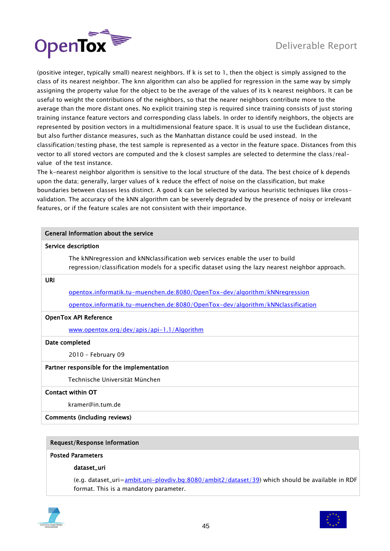

(positive integer, typically small) nearest neighbors. If k is set to 1, then the object is simply assigned to the class of its nearest neighbor. The knn algorithm can also be applied for regression in the same way by simply assigning the property value for the object to be the average of the values of its k nearest neighbors. It can be useful to weight the contributions of the neighbors, so that the nearer neighbors contribute more to the average than the more distant ones. No explicit training step is required since training consists of just storing training instance feature vectors and corresponding class labels. In order to identify neighbors, the objects are represented by position vectors in a multidimensional feature space. It is usual to use the Euclidean distance, but also further distance measures, such as the Manhattan distance could be used instead. In the classification/testing phase, the test sample is represented as a vector in the feature space. Distances from this vector to all stored vectors are computed and the k closest samples are selected to determine the class/realvalue of the test instance.

The k-nearest neighbor algorithm is sensitive to the local structure of the data. The best choice of k depends upon the data; generally, larger values of k reduce the effect of noise on the classification, but make boundaries between classes less distinct. A good k can be selected by various heuristic techniques like crossvalidation. The accuracy of the kNN algorithm can be severely degraded by the presence of noisy or irrelevant features, or if the feature scales are not consistent with their importance.

| General Information about the service                                                                                                                                                |  |
|--------------------------------------------------------------------------------------------------------------------------------------------------------------------------------------|--|
| Service description                                                                                                                                                                  |  |
| The kNN regression and kNN classification web services enable the user to build<br>regression/classification models for a specific dataset using the lazy nearest neighbor approach. |  |
| URI                                                                                                                                                                                  |  |
| opentox.informatik.tu-muenchen.de:8080/OpenTox-dev/algorithm/kNNregression                                                                                                           |  |
| opentox.informatik.tu-muenchen.de:8080/OpenTox-dev/algorithm/kNNclassification                                                                                                       |  |
| <b>OpenTox API Reference</b>                                                                                                                                                         |  |
| www.opentox.org/dev/apis/api-1.1/Algorithm                                                                                                                                           |  |
| Date completed                                                                                                                                                                       |  |
| 2010 - February 09                                                                                                                                                                   |  |
| Partner responsible for the implementation                                                                                                                                           |  |
| Technische Universität München                                                                                                                                                       |  |
| Contact within OT                                                                                                                                                                    |  |
| kramer@in.tum.de                                                                                                                                                                     |  |

# Comments (including reviews)

# Request/Response Information

# Posted Parameters

#### dataset\_uri

(e.g. dataset\_uri[=ambit.uni-plovdiv.bg:8080/ambit2/dataset/39\)](hhttp://ambit.uni-plovdiv.bg:8080/ambit2/dataset/39) which should be available in RDF format. This is a mandatory parameter.



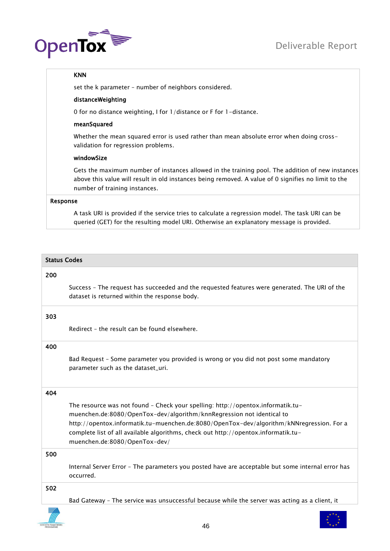

# KNN

set the k parameter – number of neighbors considered.

# distanceWeighting

0 for no distance weighting, I for 1/distance or F for 1-distance.

# meanSquared

Whether the mean squared error is used rather than mean absolute error when doing crossvalidation for regression problems.

# windowSize

Gets the maximum number of instances allowed in the training pool. The addition of new instances above this value will result in old instances being removed. A value of 0 signifies no limit to the number of training instances.

# Response

A task URI is provided if the service tries to calculate a regression model. The task URI can be queried (GET) for the resulting model URI. Otherwise an explanatory message is provided.

|     | <b>Status Codes</b>                                                                                                                                               |  |
|-----|-------------------------------------------------------------------------------------------------------------------------------------------------------------------|--|
| 200 |                                                                                                                                                                   |  |
|     | Success - The request has succeeded and the requested features were generated. The URI of the<br>dataset is returned within the response body.                    |  |
| 303 |                                                                                                                                                                   |  |
|     | Redirect - the result can be found elsewhere.                                                                                                                     |  |
| 400 |                                                                                                                                                                   |  |
|     | Bad Request - Some parameter you provided is wrong or you did not post some mandatory<br>parameter such as the dataset_uri.                                       |  |
| 404 |                                                                                                                                                                   |  |
|     | The resource was not found - Check your spelling: http://opentox.informatik.tu-                                                                                   |  |
|     | muenchen.de:8080/OpenTox-dev/algorithm/knnRegression not identical to<br>http://opentox.informatik.tu-muenchen.de:8080/OpenTox-dev/algorithm/kNNregression. For a |  |
|     | complete list of all available algorithms, check out http://opentox.informatik.tu-<br>muenchen.de:8080/OpenTox-dev/                                               |  |
| 500 |                                                                                                                                                                   |  |
|     | Internal Server Error - The parameters you posted have are acceptable but some internal error has<br>occurred.                                                    |  |
| 502 |                                                                                                                                                                   |  |
|     | Bad Gateway - The service was unsuccessful because while the server was acting as a client, it                                                                    |  |
|     | 46                                                                                                                                                                |  |

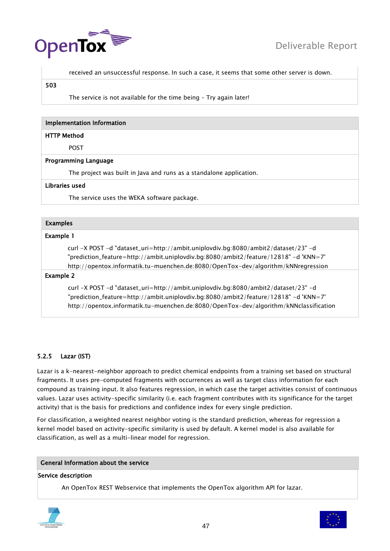



received an unsuccessful response. In such a case, it seems that some other server is down.

#### 503

The service is not available for the time being – Try again later!

#### Implementation Information

#### HTTP Method

POST

#### Programming Language

The project was built in Java and runs as a standalone application.

#### Libraries used

The service uses the WEKA software package.

#### Examples

#### Example 1

curl -X POST -d "dataset\_uri=http://ambit.uniplovdiv.bg:8080/ambit2/dataset/23" -d "prediction\_feature=http://ambit.uniplovdiv.bg:8080/ambit2/feature/12818" -d 'KNN=7' http://opentox.informatik.tu-muenchen.de:8080/OpenTox-dev/algorithm/kNNregression

#### Example 2

curl -X POST -d "dataset\_uri=http://ambit.uniplovdiv.bg:8080/ambit2/dataset/23" -d "prediction\_feature=http://ambit.uniplovdiv.bg:8080/ambit2/feature/12818" -d 'KNN=7' http://opentox.informatik.tu-muenchen.de:8080/OpenTox-dev/algorithm/kNNclassification

#### 5.2.5 Lazar (IST)

Lazar is a k-nearest-neighbor approach to predict chemical endpoints from a training set based on structural fragments. It uses pre-computed fragments with occurrences as well as target class information for each compound as training input. It also features regression, in which case the target activities consist of continuous values. Lazar uses activity-specific similarity (i.e. each fragment contributes with its significance for the target activity) that is the basis for predictions and confidence index for every single prediction.

For classification, a weighted nearest neighbor voting is the standard prediction, whereas for regression a kernel model based on activity-specific similarity is used by default. A kernel model is also available for classification, as well as a multi-linear model for regression.

# General Information about the service

#### Service description

An OpenTox REST Webservice that implements the OpenTox algorithm API for lazar.



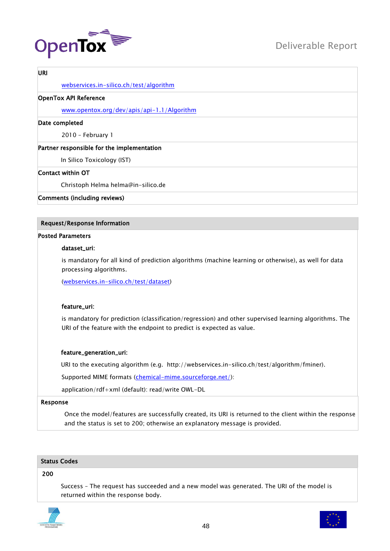

# URI

[webservices.in-silico.ch/test/algorithm](http://webservices.in-silico.ch/test/algorithm)

# OpenTox API Reference

[www.opentox.org/dev/apis/api-1.1/Algorithm](http://www.opentox.org/dev/apis/api-1.1/Algorithm)

#### Date completed

2010 – February 1

# Partner responsible for the implementation

In Silico Toxicology (IST)

# Contact within OT

Christoph Helma helma@in-silico.de

Comments (including reviews)

# Request/Response Information

# Posted Parameters

# dataset\_uri:

is mandatory for all kind of prediction algorithms (machine learning or otherwise), as well for data processing algorithms.

[\(webservices.in-silico.ch/test/dataset\)](http://webservices.in-silico.ch/test/dataset)

# feature\_uri:

is mandatory for prediction (classification/regression) and other supervised learning algorithms. The URI of the feature with the endpoint to predict is expected as value.

# feature\_generation\_uri:

URI to the executing algorithm (e.g. http://webservices.in-silico.ch/test/algorithm/fminer).

Supported MIME formats [\(chemical-mime.sourceforge.net/\)](http://chemical-mime.sourceforge.net/):

application/rdf+xml (default): read/write OWL-DL

#### Response

Once the model/features are successfully created, its URI is returned to the client within the response and the status is set to 200; otherwise an explanatory message is provided.

# Status Codes

#### 200

Success – The request has succeeded and a new model was generated. The URI of the model is returned within the response body.



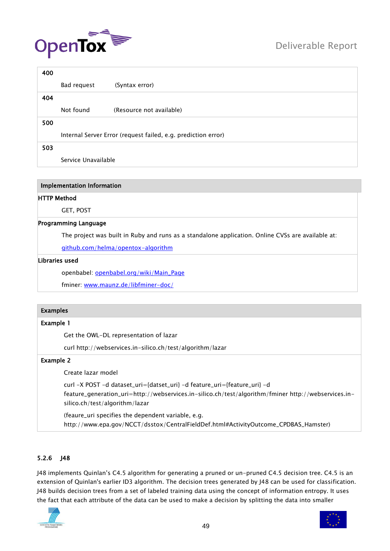

| 400 |                     |                                                               |
|-----|---------------------|---------------------------------------------------------------|
|     | Bad request         | (Syntax error)                                                |
| 404 |                     |                                                               |
|     | Not found           | (Resource not available)                                      |
| 500 |                     |                                                               |
|     |                     | Internal Server Error (request failed, e.g. prediction error) |
| 503 |                     |                                                               |
|     | Service Unavailable |                                                               |

#### HTTP Method

GET, POST

#### Programming Language

The project was built in Ruby and runs as a standalone application. Online CVSs are available at:

[github.com/helma/opentox-algorithm](http://github.com/helma/opentox-algorithm)

#### Libraries used

openbabel: [openbabel.org/wiki/Main\\_Page](http://openbabel.org/wiki/Main_Page)

fminer: [www.maunz.de/libfminer-doc/](http://www.maunz.de/libfminer-doc/)

#### Examples

#### Example 1

Get the OWL-DL representation of lazar

curl http://webservices.in-silico.ch/test/algorithm/lazar

# Example 2

Create lazar model

curl -X POST -d dataset\_uri={datset\_uri} -d feature\_uri={feature\_uri} -d feature\_generation\_uri=http://webservices.in-silico.ch/test/algorithm/fminer http://webservices.insilico.ch/test/algorithm/lazar

(feaure\_uri specifies the dependent variable, e.g. http://www.epa.gov/NCCT/dsstox/CentralFieldDef.html#ActivityOutcome\_CPDBAS\_Hamster)

# 5.2.6 J48

J48 implements Quinlan's C4.5 algorithm for generating a pruned or un-pruned C4.5 decision tree. C4.5 is an extension of Quinlan's earlier ID3 algorithm. The decision trees generated by J48 can be used for classification. J48 builds decision trees from a set of labeled training data using the concept of information entropy. It uses the fact that each attribute of the data can be used to make a decision by splitting the data into smaller



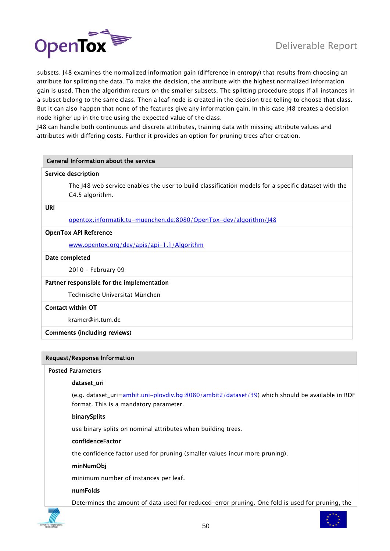subsets. J48 examines the normalized information gain (difference in entropy) that results from choosing an attribute for splitting the data. To make the decision, the attribute with the highest normalized information gain is used. Then the algorithm recurs on the smaller subsets. The splitting procedure stops if all instances in a subset belong to the same class. Then a leaf node is created in the decision tree telling to choose that class. But it can also happen that none of the features give any information gain. In this case J48 creates a decision node higher up in the tree using the expected value of the class.

J48 can handle both continuous and discrete attributes, training data with missing attribute values and attributes with differing costs. Further it provides an option for pruning trees after creation.

| General Information about the service                                                                                  |  |
|------------------------------------------------------------------------------------------------------------------------|--|
| Service description                                                                                                    |  |
| The J48 web service enables the user to build classification models for a specific dataset with the<br>C4.5 algorithm. |  |
| URI                                                                                                                    |  |
| <u>opentox.informatik.tu-muenchen.de:8080/OpenTox-dev/algorithm/J48</u>                                                |  |
| <b>OpenTox API Reference</b>                                                                                           |  |
| www.opentox.org/dev/apis/api-1.1/Algorithm                                                                             |  |
| Date completed                                                                                                         |  |
| 2010 - February 09                                                                                                     |  |
| Partner responsible for the implementation                                                                             |  |
| Technische Universität München                                                                                         |  |
| <b>Contact within OT</b>                                                                                               |  |
| kramer@in.tum.de                                                                                                       |  |
| Comments (including reviews)                                                                                           |  |

# Request/Response Information

#### Posted Parameters

#### dataset\_uri

(e.g. dataset\_uri[=ambit.uni-plovdiv.bg:8080/ambit2/dataset/39\)](http://ambit.uni-plovdiv.bg:8080/ambit2/dataset/39) which should be available in RDF format. This is a mandatory parameter.

#### binarySplits

use binary splits on nominal attributes when building trees.

#### confidenceFactor

the confidence factor used for pruning (smaller values incur more pruning).

#### minNumObj

minimum number of instances per leaf.

#### numFolds

Determines the amount of data used for reduced-error pruning. One fold is used for pruning, the

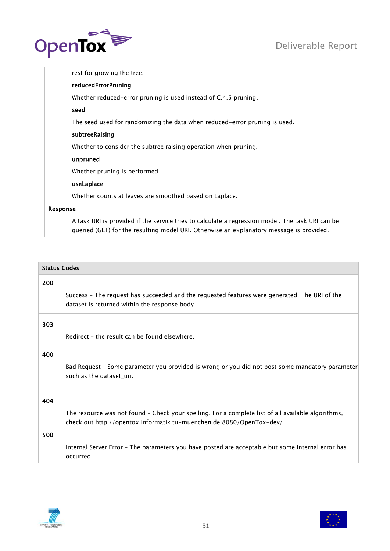

rest for growing the tree. reducedErrorPruning Whether reduced-error pruning is used instead of C.4.5 pruning. seed The seed used for randomizing the data when reduced-error pruning is used. subtreeRaising Whether to consider the subtree raising operation when pruning. unpruned Whether pruning is performed. useLaplace Whether counts at leaves are smoothed based on Laplace. Response

A task URI is provided if the service tries to calculate a regression model. The task URI can be queried (GET) for the resulting model URI. Otherwise an explanatory message is provided.

|     | <b>Status Codes</b>                                                                                                                                                        |  |
|-----|----------------------------------------------------------------------------------------------------------------------------------------------------------------------------|--|
| 200 |                                                                                                                                                                            |  |
|     | Success - The request has succeeded and the requested features were generated. The URI of the<br>dataset is returned within the response body.                             |  |
| 303 |                                                                                                                                                                            |  |
|     | Redirect - the result can be found elsewhere.                                                                                                                              |  |
| 400 |                                                                                                                                                                            |  |
|     | Bad Request - Some parameter you provided is wrong or you did not post some mandatory parameter<br>such as the dataset uri.                                                |  |
| 404 |                                                                                                                                                                            |  |
|     | The resource was not found - Check your spelling. For a complete list of all available algorithms,<br>check out http://opentox.informatik.tu-muenchen.de:8080/OpenTox-dev/ |  |
| 500 |                                                                                                                                                                            |  |
|     | Internal Server Error - The parameters you have posted are acceptable but some internal error has<br>occurred.                                                             |  |



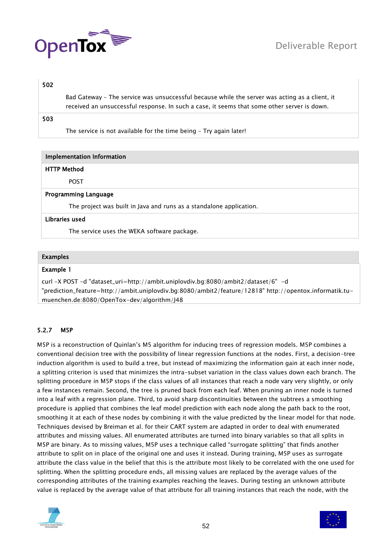

# 502

Bad Gateway – The service was unsuccessful because while the server was acting as a client, it received an unsuccessful response. In such a case, it seems that some other server is down.

# 503

The service is not available for the time being – Try again later!

| <b>Implementation Information</b> |                                                                     |
|-----------------------------------|---------------------------------------------------------------------|
| <b>HTTP Method</b>                |                                                                     |
| <b>POST</b>                       |                                                                     |
| <b>Programming Language</b>       |                                                                     |
|                                   | The project was built in Java and runs as a standalone application. |
| Libraries used                    |                                                                     |

The service uses the WEKA software package.

# Examples

# Example 1

curl -X POST -d "dataset\_uri=http://ambit.uniplovdiv.bg:8080/ambit2/dataset/6" -d "prediction\_feature=http://ambit.uniplovdiv.bg:8080/ambit2/feature/12818" http://opentox.informatik.tumuenchen.de:8080/OpenTox-dev/algorithm/J48

# 5.2.7 M5P

M5P is a reconstruction of Quinlan's M5 algorithm for inducing trees of regression models. M5P combines a conventional decision tree with the possibility of linear regression functions at the nodes. First, a decision-tree induction algorithm is used to build a tree, but instead of maximizing the information gain at each inner node, a splitting criterion is used that minimizes the intra-subset variation in the class values down each branch. The splitting procedure in M5P stops if the class values of all instances that reach a node vary very slightly, or only a few instances remain. Second, the tree is pruned back from each leaf. When pruning an inner node is turned into a leaf with a regression plane. Third, to avoid sharp discontinuities between the subtrees a smoothing procedure is applied that combines the leaf model prediction with each node along the path back to the root, smoothing it at each of these nodes by combining it with the value predicted by the linear model for that node. Techniques devised by Breiman et al. for their CART system are adapted in order to deal with enumerated attributes and missing values. All enumerated attributes are turned into binary variables so that all splits in M5P are binary. As to missing values, M5P uses a technique called "surrogate splitting" that finds another attribute to split on in place of the original one and uses it instead. During training, M5P uses as surrogate attribute the class value in the belief that this is the attribute most likely to be correlated with the one used for splitting. When the splitting procedure ends, all missing values are replaced by the average values of the corresponding attributes of the training examples reaching the leaves. During testing an unknown attribute value is replaced by the average value of that attribute for all training instances that reach the node, with the



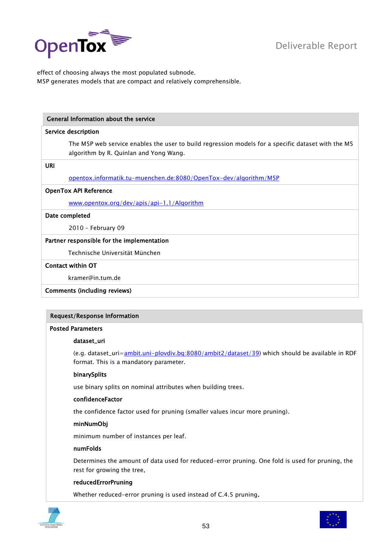

effect of choosing always the most populated subnode. M5P generates models that are compact and relatively comprehensible.

# General Information about the service

#### Service description

The M5P web service enables the user to build regression models for a specific dataset with the M5 algorithm by R. Quinlan and Yong Wang.

URI

[opentox.informatik.tu-muenchen.de:8080/OpenTox-dev/algorithm/M5P](http://opentox.informatik.tu-muenchen.de:8080/OpenTox-dev/algorithm/M5P)

# OpenTox API Reference

[www.opentox.org/dev/apis/api-1.1/Algorithm](http://www.opentox.org/dev/apis/api-1.1/Algorithm)

#### Date completed

2010 – February 09

# Partner responsible for the implementation

Technische Universität München

# Contact within OT

kramer@in.tum.de

Comments (including reviews)

# Request/Response Information

#### Posted Parameters

#### dataset\_uri

(e.g. dataset\_uri[=ambit.uni-plovdiv.bg:8080/ambit2/dataset/39\)](http://ambit.uni-plovdiv.bg:8080/ambit2/dataset/39) which should be available in RDF format. This is a mandatory parameter.

# binarySplits

use binary splits on nominal attributes when building trees.

# confidenceFactor

the confidence factor used for pruning (smaller values incur more pruning).

#### minNumObj

minimum number of instances per leaf.

#### numFolds

Determines the amount of data used for reduced-error pruning. One fold is used for pruning, the rest for growing the tree,

# reducedErrorPruning

Whether reduced-error pruning is used instead of C.4.5 pruning.



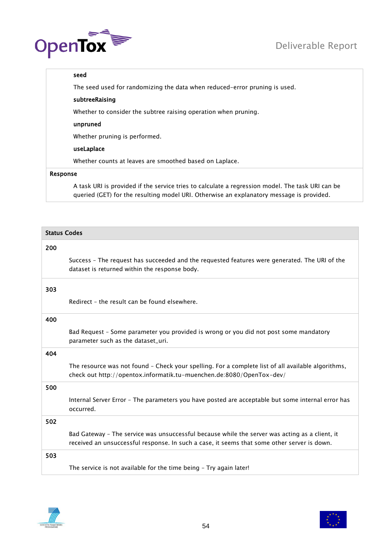

# seed

The seed used for randomizing the data when reduced-error pruning is used.

# subtreeRaising

Whether to consider the subtree raising operation when pruning.

# unpruned

Whether pruning is performed.

# useLaplace

Whether counts at leaves are smoothed based on Laplace.

# Response

A task URI is provided if the service tries to calculate a regression model. The task URI can be queried (GET) for the resulting model URI. Otherwise an explanatory message is provided.

| <b>Status Codes</b> |                                                                                                                                                                                               |
|---------------------|-----------------------------------------------------------------------------------------------------------------------------------------------------------------------------------------------|
| 200                 |                                                                                                                                                                                               |
|                     | Success - The request has succeeded and the requested features were generated. The URI of the<br>dataset is returned within the response body.                                                |
| 303                 |                                                                                                                                                                                               |
|                     | Redirect - the result can be found elsewhere.                                                                                                                                                 |
| 400                 |                                                                                                                                                                                               |
|                     | Bad Request - Some parameter you provided is wrong or you did not post some mandatory<br>parameter such as the dataset_uri.                                                                   |
| 404                 |                                                                                                                                                                                               |
|                     | The resource was not found - Check your spelling. For a complete list of all available algorithms,<br>check out http://opentox.informatik.tu-muenchen.de:8080/OpenTox-dev/                    |
| 500                 |                                                                                                                                                                                               |
|                     | Internal Server Error - The parameters you have posted are acceptable but some internal error has<br>occurred.                                                                                |
| 502                 |                                                                                                                                                                                               |
|                     | Bad Gateway - The service was unsuccessful because while the server was acting as a client, it<br>received an unsuccessful response. In such a case, it seems that some other server is down. |
| 503                 |                                                                                                                                                                                               |
|                     | The service is not available for the time being - Try again later!                                                                                                                            |



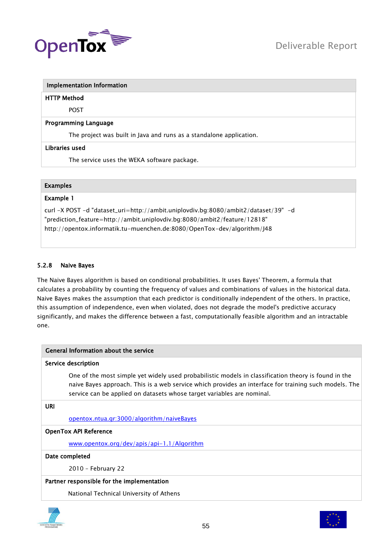

# HTTP Method

POST

# Programming Language

The project was built in Java and runs as a standalone application.

# Libraries used

The service uses the WEKA software package.

# Examples

# Example 1

curl -X POST -d "dataset\_uri=http://ambit.uniplovdiv.bg:8080/ambit2/dataset/39" -d "prediction\_feature=http://ambit.uniplovdiv.bg:8080/ambit2/feature/12818" http://opentox.informatik.tu-muenchen.de:8080/OpenTox-dev/algorithm/J48

# 5.2.8 Naive Bayes

The Naive Bayes algorithm is based on conditional probabilities. It uses Bayes' Theorem, a formula that calculates a probability by counting the frequency of values and combinations of values in the historical data. Naive Bayes makes the assumption that each predictor is conditionally independent of the others. In practice, this assumption of independence, even when violated, does not degrade the model's predictive accuracy significantly, and makes the difference between a fast, computationally feasible algorithm and an intractable one.

|            | General Information about the service                                                                                                                                                                                                                                                   |
|------------|-----------------------------------------------------------------------------------------------------------------------------------------------------------------------------------------------------------------------------------------------------------------------------------------|
|            | Service description                                                                                                                                                                                                                                                                     |
|            | One of the most simple yet widely used probabilistic models in classification theory is found in the<br>naive Bayes approach. This is a web service which provides an interface for training such models. The<br>service can be applied on datasets whose target variables are nominal. |
| <b>URI</b> |                                                                                                                                                                                                                                                                                         |
|            | opentox.ntua.gr:3000/algorithm/naiveBayes                                                                                                                                                                                                                                               |
|            | <b>OpenTox API Reference</b>                                                                                                                                                                                                                                                            |
|            | www.opentox.org/dev/apis/api-1.1/Algorithm                                                                                                                                                                                                                                              |
|            | Date completed                                                                                                                                                                                                                                                                          |
|            | 2010 - February 22                                                                                                                                                                                                                                                                      |
|            | Partner responsible for the implementation                                                                                                                                                                                                                                              |
|            | National Technical University of Athens                                                                                                                                                                                                                                                 |



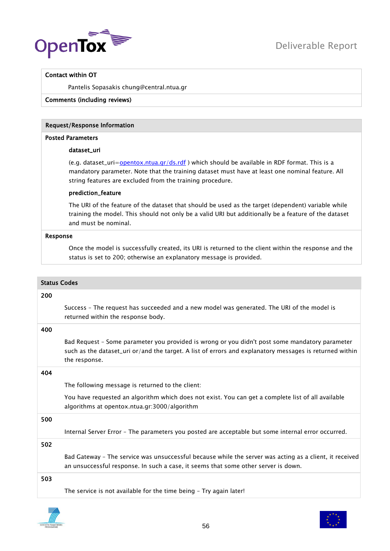

# Contact within OT

Pantelis Sopasakis chung@central.ntua.gr

# Comments (including reviews)

#### Request/Response Information

#### Posted Parameters

#### dataset\_uri

(e.g. dataset\_uri[=opentox.ntua.gr/ds.rdf](http://opentox.ntua.gr/ds.rdf) ) which should be available in RDF format. This is a mandatory parameter. Note that the training dataset must have at least one nominal feature. All string features are excluded from the training procedure.

#### prediction\_feature

The URI of the feature of the dataset that should be used as the target (dependent) variable while training the model. This should not only be a valid URI but additionally be a feature of the dataset and must be nominal.

#### Response

Once the model is successfully created, its URI is returned to the client within the response and the status is set to 200; otherwise an explanatory message is provided.

#### Status Codes

#### 200

Success – The request has succeeded and a new model was generated. The URI of the model is returned within the response body.

#### 400

Bad Request – Some parameter you provided is wrong or you didn't post some mandatory parameter such as the dataset\_uri or/and the target. A list of errors and explanatory messages is returned within the response.

#### 404

The following message is returned to the client:

You have requested an algorithm which does not exist. You can get a complete list of all available algorithms at opentox.ntua.gr:3000/algorithm

# 500

Internal Server Error – The parameters you posted are acceptable but some internal error occurred.

502

Bad Gateway – The service was unsuccessful because while the server was acting as a client, it received an unsuccessful response. In such a case, it seems that some other server is down.

#### 503

The service is not available for the time being – Try again later!



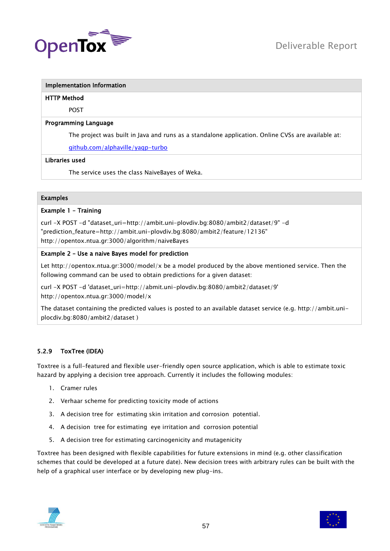

#### HTTP Method

POST

# Programming Language

The project was built in Java and runs as a standalone application. Online CVSs are available at:

[github.com/alphaville/yaqp-turbo](http://github.com/alphaville/yaqp-turbo)

# Libraries used

The service uses the class NaiveBayes of Weka.

# Examples

# Example 1 – Training

curl -X POST -d "dataset\_uri=http://ambit.uni-plovdiv.bg:8080/ambit2/dataset/9" -d "prediction\_feature=http://ambit.uni-plovdiv.bg:8080/ambit2/feature/12136" http://opentox.ntua.gr:3000/algorithm/naiveBayes

# Example 2 – Use a naive Bayes model for prediction

Let http://opentox.ntua.gr:3000/model/x be a model produced by the above mentioned service. Then the following command can be used to obtain predictions for a given dataset:

curl -X POST -d 'dataset\_uri=http://abmit.uni-plovdiv.bg:8080/ambit2/dataset/9' http://opentox.ntua.gr:3000/model/x

The dataset containing the predicted values is posted to an available dataset service (e.g. http://ambit.uniplocdiv.bg:8080/ambit2/dataset )

# 5.2.9 ToxTree (IDEA)

Toxtree is a full-featured and flexible user-friendly open source application, which is able to estimate toxic hazard by applying a decision tree approach. Currently it includes the following modules:

- 1. Cramer rules
- 2. Verhaar scheme for predicting toxicity mode of actions
- 3. A decision tree for estimating skin irritation and corrosion potential.
- 4. A decision tree for estimating eye irritation and corrosion potential
- 5. A decision tree for estimating carcinogenicity and mutagenicity

Toxtree has been designed with flexible capabilities for future extensions in mind (e.g. other classification schemes that could be developed at a future date). New decision trees with arbitrary rules can be built with the help of a graphical user interface or by developing new plug-ins.



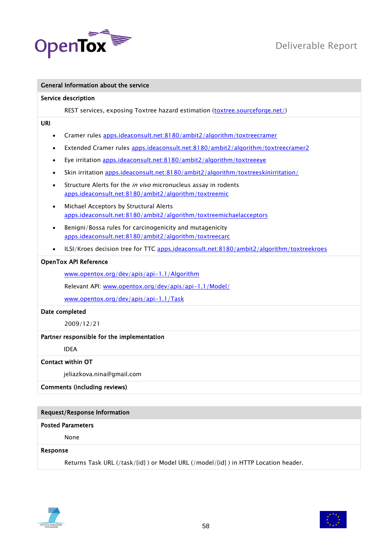

| General Information about the service                                                                                           |  |
|---------------------------------------------------------------------------------------------------------------------------------|--|
| Service description                                                                                                             |  |
| REST services, exposing Toxtree hazard estimation (toxtree.sourceforge.net/)                                                    |  |
| <b>URI</b>                                                                                                                      |  |
| Cramer rules apps.ideaconsult.net:8180/ambit2/algorithm/toxtreecramer<br>$\bullet$                                              |  |
| Extended Cramer rules apps.ideaconsult.net:8180/ambit2/algorithm/toxtreecramer2                                                 |  |
| Eye irritation apps.ideaconsult.net:8180/ambit2/algorithm/toxtreeeye<br>$\bullet$                                               |  |
| Skin irritation apps.ideaconsult.net:8180/ambit2/algorithm/toxtreeskinirritation/<br>$\bullet$                                  |  |
| Structure Alerts for the in vivo micronucleus assay in rodents<br>apps.ideaconsult.net:8180/ambit2/algorithm/toxtreemic         |  |
| Michael Acceptors by Structural Alerts                                                                                          |  |
| apps.ideaconsult.net:8180/ambit2/algorithm/toxtreemichaelacceptors                                                              |  |
| Benigni/Bossa rules for carcinogenicity and mutagenicity<br>$\bullet$<br>apps.ideaconsult.net:8180/ambit2/algorithm/toxtreecarc |  |
| ILSI/Kroes decision tree for TTC apps.ideaconsult.net:8180/ambit2/algorithm/toxtreekroes                                        |  |
| <b>OpenTox API Reference</b>                                                                                                    |  |
| www.opentox.org/dev/apis/api-1.1/Algorithm                                                                                      |  |
| Relevant API: www.opentox.org/dev/apis/api-1.1/Model/                                                                           |  |
| www.opentox.org/dev/apis/api-1.1/Task                                                                                           |  |
| Date completed                                                                                                                  |  |
| 2009/12/21                                                                                                                      |  |
| Partner responsible for the implementation                                                                                      |  |
| <b>IDEA</b>                                                                                                                     |  |
| <b>Contact within OT</b>                                                                                                        |  |
| jeliazkova.nina@gmail.com                                                                                                       |  |
| <b>Comments (including reviews)</b>                                                                                             |  |
|                                                                                                                                 |  |
| <b>Request/Response Information</b>                                                                                             |  |

# Posted Parameters

None

# Response

Returns Task URL (/task/{id} ) or Model URL (/model/{id} ) in HTTP Location header.



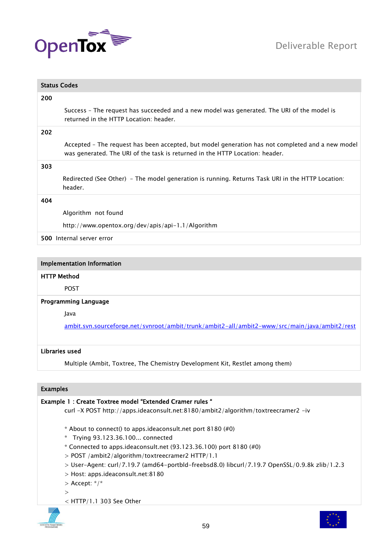



| <b>Status Codes</b>                                                                                                                                                              |  |
|----------------------------------------------------------------------------------------------------------------------------------------------------------------------------------|--|
| 200                                                                                                                                                                              |  |
| Success - The request has succeeded and a new model was generated. The URI of the model is<br>returned in the HTTP Location: header.                                             |  |
| 202                                                                                                                                                                              |  |
| Accepted - The request has been accepted, but model generation has not completed and a new model<br>was generated. The URI of the task is returned in the HTTP Location: header. |  |
| 303                                                                                                                                                                              |  |
| Redirected (See Other) - The model generation is running. Returns Task URI in the HTTP Location:<br>header.                                                                      |  |
| 404                                                                                                                                                                              |  |
| Algorithm not found                                                                                                                                                              |  |
| http://www.opentox.org/dev/apis/api-1.1/Algorithm                                                                                                                                |  |
| 500 Internal server error                                                                                                                                                        |  |
|                                                                                                                                                                                  |  |

# HTTP Method

POST

#### Programming Language

Java

[ambit.svn.sourceforge.net/svnroot/ambit/trunk/ambit2-all/ambit2-www/src/main/java/ambit2/rest](https://ambit.svn.sourceforge.net/svnroot/ambit/trunk/ambit2-all/ambit2-www/src/main/java/ambit2/rest)

#### Libraries used

Multiple (Ambit, Toxtree, The Chemistry Development Kit, Restlet among them)

# Examples

Example 1 : Create Toxtree model "Extended Cramer rules " curl -X POST http://apps.ideaconsult.net:8180/ambit2/algorithm/toxtreecramer2 -iv  $*$  About to connect() to apps.ideaconsult.net port 8180 (#0) \* Trying 93.123.36.100... connected \* Connected to apps.ideaconsult.net (93.123.36.100) port 8180 (#0) > POST /ambit2/algorithm/toxtreecramer2 HTTP/1.1 > User-Agent: curl/7.19.7 (amd64-portbld-freebsd8.0) libcurl/7.19.7 OpenSSL/0.9.8k zlib/1.2.3 > Host: apps.ideaconsult.net:8180  $>$  Accept:  $*/*$  $\rightarrow$ < HTTP/1.1 303 See Other



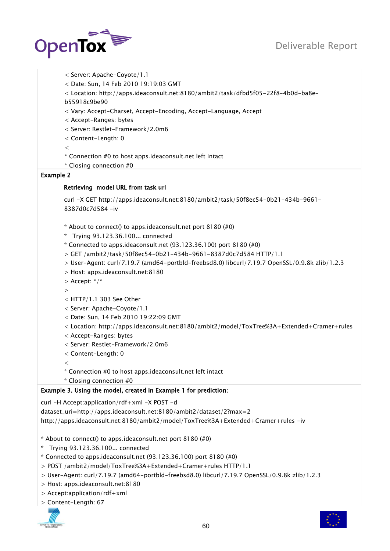# Deliverable Report



< Server: Apache-Coyote/1.1 < Date: Sun, 14 Feb 2010 19:19:03 GMT < Location: http://apps.ideaconsult.net:8180/ambit2/task/dfbd5f05-22f8-4b0d-ba8eb55918c9be90 < Vary: Accept-Charset, Accept-Encoding, Accept-Language, Accept < Accept-Ranges: bytes < Server: Restlet-Framework/2.0m6 < Content-Length: 0  $\lt$ \* Connection #0 to host apps.ideaconsult.net left intact \* Closing connection #0 Example 2 Retrieving model URL from task url curl -X GET http://apps.ideaconsult.net:8180/ambit2/task/50f8ec54-0b21-434b-9661- 8387d0c7d584 -iv  $*$  About to connect() to apps.ideaconsult.net port 8180  $(\#0)$ \* Trying 93.123.36.100... connected \* Connected to apps.ideaconsult.net (93.123.36.100) port 8180 (#0) > GET /ambit2/task/50f8ec54-0b21-434b-9661-8387d0c7d584 HTTP/1.1 > User-Agent: curl/7.19.7 (amd64-portbld-freebsd8.0) libcurl/7.19.7 OpenSSL/0.9.8k zlib/1.2.3 > Host: apps.ideaconsult.net:8180  $>$  Accept: \*/\* > < HTTP/1.1 303 See Other < Server: Apache-Coyote/1.1 < Date: Sun, 14 Feb 2010 19:22:09 GMT < Location: http://apps.ideaconsult.net:8180/ambit2/model/ToxTree%3A+Extended+Cramer+rules < Accept-Ranges: bytes < Server: Restlet-Framework/2.0m6 < Content-Length: 0  $\lt$ \* Connection #0 to host apps.ideaconsult.net left intact \* Closing connection #0 Example 3. Using the model, created in Example 1 for prediction: curl -H Accept:application/rdf+xml -X POST -d dataset\_uri=http://apps.ideaconsult.net:8180/ambit2/dataset/2?max=2 http://apps.ideaconsult.net:8180/ambit2/model/ToxTree%3A+Extended+Cramer+rules -iv

\* About to connect() to apps.ideaconsult.net port 8180 (#0)

- \* Trying 93.123.36.100... connected
- $*$  Connected to apps.ideaconsult.net (93.123.36.100) port 8180  $(\#0)$
- > POST /ambit2/model/ToxTree%3A+Extended+Cramer+rules HTTP/1.1
- > User-Agent: curl/7.19.7 (amd64-portbld-freebsd8.0) libcurl/7.19.7 OpenSSL/0.9.8k zlib/1.2.3
- > Host: apps.ideaconsult.net:8180
- > Accept:application/rdf+xml
- > Content-Length: 67



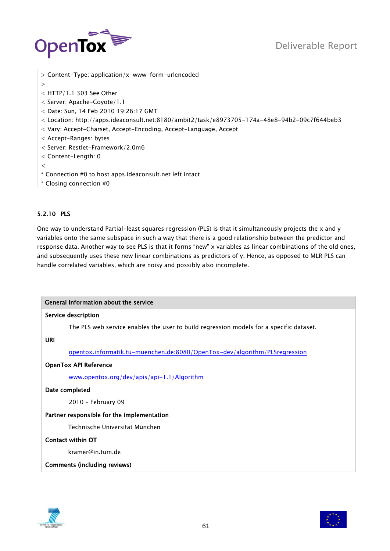

| $>$ Content-Type: application/x-www-form-urlencoded                                           |
|-----------------------------------------------------------------------------------------------|
| $\geq$                                                                                        |
| $<$ HTTP/1.1 303 See Other                                                                    |
| $<$ Server: Apache-Coyote/1.1                                                                 |
| $<$ Date: Sun, 14 Feb 2010 19:26:17 GMT                                                       |
| < Location: http://apps.ideaconsult.net:8180/ambit2/task/e8973705-174a-48e8-94b2-09c7f644beb3 |
| < Vary: Accept-Charset, Accept-Encoding, Accept-Language, Accept                              |
| $<$ Accept-Ranges: bytes                                                                      |
| < Server: Restlet-Framework/2.0m6                                                             |
| $<$ Content-Length: 0                                                                         |
| $\,<\,$                                                                                       |
| * Connection #0 to host apps ideaconsult net left intact                                      |
| * Closing connection #0                                                                       |

# 5.2.10 PLS

One way to understand Partial-least squares regression (PLS) is that it simultaneously projects the x and y variables onto the same subspace in such a way that there is a good relationship between the predictor and response data. Another way to see PLS is that it forms "new" x variables as linear combinations of the old ones, and subsequently uses these new linear combinations as predictors of y. Hence, as opposed to MLR PLS can handle correlated variables, which are noisy and possibly also incomplete.

| General Information about the service                                                   |  |
|-----------------------------------------------------------------------------------------|--|
| Service description                                                                     |  |
| The PLS web service enables the user to build regression models for a specific dataset. |  |
| URI                                                                                     |  |
| <u>opentox.informatik.tu-muenchen.de:8080/OpenTox-dev/algorithm/PLSregression</u>       |  |
| <b>OpenTox API Reference</b>                                                            |  |
| www.opentox.org/dev/apis/api-1.1/Algorithm                                              |  |
| Date completed                                                                          |  |
| 2010 - February 09                                                                      |  |
| Partner responsible for the implementation                                              |  |
| Technische Universität München                                                          |  |
| Contact within OT                                                                       |  |
| kramer@in.tum.de                                                                        |  |
| Comments (including reviews)                                                            |  |



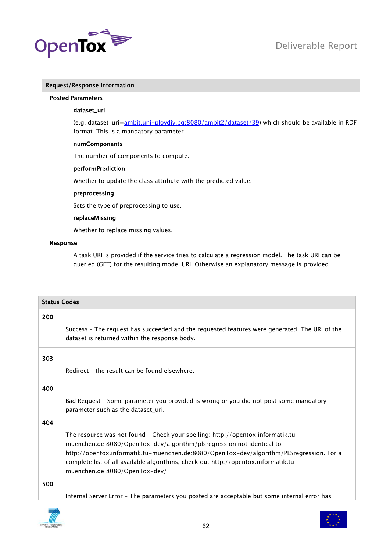

|          | <b>Request/Response Information</b>                                                                                                                                                          |
|----------|----------------------------------------------------------------------------------------------------------------------------------------------------------------------------------------------|
|          | <b>Posted Parameters</b>                                                                                                                                                                     |
|          | dataset_uri                                                                                                                                                                                  |
|          | (e.g. dataset_uri= <b>ambit.uni-plovdiv.bg:8080/ambit2/dataset/39)</b> which should be available in RDF<br>format. This is a mandatory parameter.                                            |
|          | numComponents                                                                                                                                                                                |
|          | The number of components to compute.                                                                                                                                                         |
|          | performPrediction                                                                                                                                                                            |
|          | Whether to update the class attribute with the predicted value.                                                                                                                              |
|          | preprocessing                                                                                                                                                                                |
|          | Sets the type of preprocessing to use.                                                                                                                                                       |
|          | replaceMissing                                                                                                                                                                               |
|          | Whether to replace missing values.                                                                                                                                                           |
| Response |                                                                                                                                                                                              |
|          | A task URI is provided if the service tries to calculate a regression model. The task URI can be<br>queried (GET) for the resulting model URI. Otherwise an explanatory message is provided. |

| <b>Status Codes</b> |                                                                                                                                                                                                                                                                                                                                                                             |
|---------------------|-----------------------------------------------------------------------------------------------------------------------------------------------------------------------------------------------------------------------------------------------------------------------------------------------------------------------------------------------------------------------------|
| 200                 |                                                                                                                                                                                                                                                                                                                                                                             |
|                     | Success - The request has succeeded and the requested features were generated. The URI of the<br>dataset is returned within the response body.                                                                                                                                                                                                                              |
| 303                 |                                                                                                                                                                                                                                                                                                                                                                             |
|                     | Redirect - the result can be found elsewhere.                                                                                                                                                                                                                                                                                                                               |
| 400                 |                                                                                                                                                                                                                                                                                                                                                                             |
|                     | Bad Request – Some parameter you provided is wrong or you did not post some mandatory<br>parameter such as the dataset_uri.                                                                                                                                                                                                                                                 |
| 404                 |                                                                                                                                                                                                                                                                                                                                                                             |
|                     | The resource was not found - Check your spelling: http://opentox.informatik.tu-<br>muenchen.de:8080/OpenTox-dev/algorithm/plsregression not identical to<br>http://opentox.informatik.tu-muenchen.de:8080/OpenTox-dev/algorithm/PLSregression. For a<br>complete list of all available algorithms, check out http://opentox.informatik.tu-<br>muenchen.de:8080/OpenTox-dev/ |
| 500                 |                                                                                                                                                                                                                                                                                                                                                                             |
|                     | Internal Server Error - The parameters you posted are acceptable but some internal error has                                                                                                                                                                                                                                                                                |

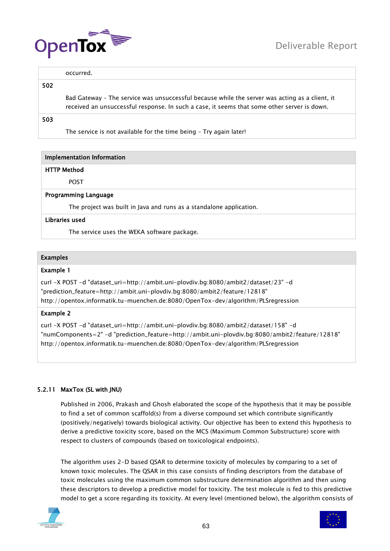

occurred.

# 502

Bad Gateway – The service was unsuccessful because while the server was acting as a client, it received an unsuccessful response. In such a case, it seems that some other server is down.

# 503

The service is not available for the time being – Try again later!

# Implementation Information

# HTTP Method

POST

# Programming Language

The project was built in Java and runs as a standalone application.

# Libraries used

The service uses the WEKA software package.

# Examples

# Example 1

curl -X POST -d "dataset\_uri=http://ambit.uni-plovdiv.bg:8080/ambit2/dataset/23" -d "prediction\_feature=http://ambit.uni-plovdiv.bg:8080/ambit2/feature/12818" http://opentox.informatik.tu-muenchen.de:8080/OpenTox-dev/algorithm/PLSregression

# Example 2

curl -X POST -d "dataset\_uri=http://ambit.uni-plovdiv.bg:8080/ambit2/dataset/158" -d "numComponents=2" -d "prediction\_feature=http://ambit.uni-plovdiv.bg:8080/ambit2/feature/12818" http://opentox.informatik.tu-muenchen.de:8080/OpenTox-dev/algorithm/PLSregression

# 5.2.11 MaxTox (SL with JNU)

Published in 2006, Prakash and Ghosh elaborated the scope of the hypothesis that it may be possible to find a set of common scaffold(s) from a diverse compound set which contribute significantly (positively/negatively) towards biological activity. Our objective has been to extend this hypothesis to derive a predictive toxicity score, based on the MCS (Maximum Common Substructure) score with respect to clusters of compounds (based on toxicological endpoints).

The algorithm uses 2-D based QSAR to determine toxicity of molecules by comparing to a set of known toxic molecules. The QSAR in this case consists of finding descriptors from the database of toxic molecules using the maximum common substructure determination algorithm and then using these descriptors to develop a predictive model for toxicity. The test molecule is fed to this predictive model to get a score regarding its toxicity. At every level (mentioned below), the algorithm consists of



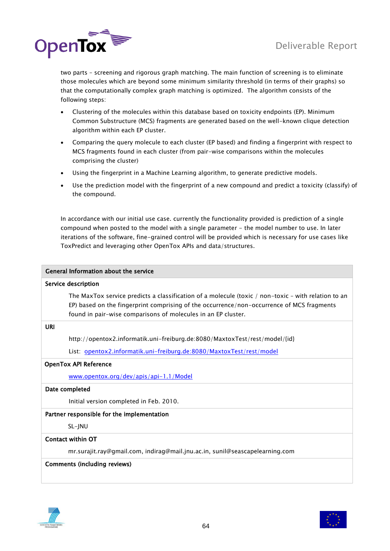

two parts – screening and rigorous graph matching. The main function of screening is to eliminate those molecules which are beyond some minimum similarity threshold (in terms of their graphs) so that the computationally complex graph matching is optimized. The algorithm consists of the following steps:

- Clustering of the molecules within this database based on toxicity endpoints (EP). Minimum Common Substructure (MCS) fragments are generated based on the well-known clique detection algorithm within each EP cluster.
- Comparing the query molecule to each cluster (EP based) and finding a fingerprint with respect to MCS fragments found in each cluster (from pair-wise comparisons within the molecules comprising the cluster)
- Using the fingerprint in a Machine Learning algorithm, to generate predictive models.
- Use the prediction model with the fingerprint of a new compound and predict a toxicity (classify) of the compound.

In accordance with our initial use case. currently the functionality provided is prediction of a single compound when posted to the model with a single parameter - the model number to use. In later iterations of the software, fine-grained control will be provided which is necessary for use cases like ToxPredict and leveraging other OpenTox APIs and data/structures.

| General Information about the service                                                                                                                                                                                                                             |  |
|-------------------------------------------------------------------------------------------------------------------------------------------------------------------------------------------------------------------------------------------------------------------|--|
| Service description                                                                                                                                                                                                                                               |  |
| The MaxTox service predicts a classification of a molecule (toxic / non-toxic - with relation to an<br>EP) based on the fingerprint comprising of the occurrence/non-occurrence of MCS fragments<br>found in pair-wise comparisons of molecules in an EP cluster. |  |
| URI                                                                                                                                                                                                                                                               |  |
| http://opentox2.informatik.uni-freiburg.de:8080/MaxtoxTest/rest/model/{id}                                                                                                                                                                                        |  |
| List: opentox2.informatik.uni-freiburg.de:8080/MaxtoxTest/rest/model                                                                                                                                                                                              |  |
| <b>OpenTox API Reference</b>                                                                                                                                                                                                                                      |  |
| www.opentox.org/dev/apis/api-1.1/Model                                                                                                                                                                                                                            |  |
| Date completed                                                                                                                                                                                                                                                    |  |
| Initial version completed in Feb. 2010.                                                                                                                                                                                                                           |  |
| Partner responsible for the implementation                                                                                                                                                                                                                        |  |
| SL-JNU                                                                                                                                                                                                                                                            |  |
| Contact within OT                                                                                                                                                                                                                                                 |  |
| mr.surajit.ray@gmail.com, indirag@mail.jnu.ac.in, sunil@seascapelearning.com                                                                                                                                                                                      |  |
| <b>Comments (including reviews)</b>                                                                                                                                                                                                                               |  |



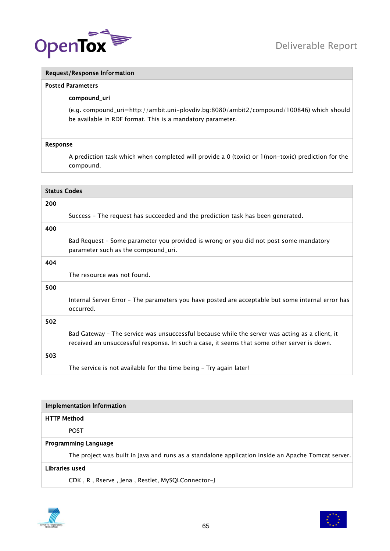

# Request/Response Information

#### Posted Parameters

# compound\_uri

(e.g. compound\_uri=http://ambit.uni-plovdiv.bg:8080/ambit2/compound/100846) which should be available in RDF format. This is a mandatory parameter.

#### Response

A prediction task which when completed will provide a 0 (toxic) or 1(non-toxic) prediction for the compound.

| <b>Status Codes</b> |                                                                                                                                                                                               |
|---------------------|-----------------------------------------------------------------------------------------------------------------------------------------------------------------------------------------------|
| 200                 |                                                                                                                                                                                               |
|                     | Success - The request has succeeded and the prediction task has been generated.                                                                                                               |
| 400                 |                                                                                                                                                                                               |
|                     | Bad Request - Some parameter you provided is wrong or you did not post some mandatory<br>parameter such as the compound_uri.                                                                  |
| 404                 |                                                                                                                                                                                               |
|                     | The resource was not found.                                                                                                                                                                   |
| 500                 |                                                                                                                                                                                               |
|                     | Internal Server Error - The parameters you have posted are acceptable but some internal error has<br>occurred.                                                                                |
| 502                 |                                                                                                                                                                                               |
|                     | Bad Gateway - The service was unsuccessful because while the server was acting as a client, it<br>received an unsuccessful response. In such a case, it seems that some other server is down. |
| 503                 |                                                                                                                                                                                               |
|                     | The service is not available for the time being - Try again later!                                                                                                                            |

| <b>Implementation Information</b>                                                                  |  |
|----------------------------------------------------------------------------------------------------|--|
| <b>HTTP Method</b>                                                                                 |  |
| <b>POST</b>                                                                                        |  |
| <b>Programming Language</b>                                                                        |  |
| The project was built in Java and runs as a standalone application inside an Apache Tomcat server. |  |
| Libraries used                                                                                     |  |

CDK , R , Rserve , Jena , Restlet, MySQLConnector-J



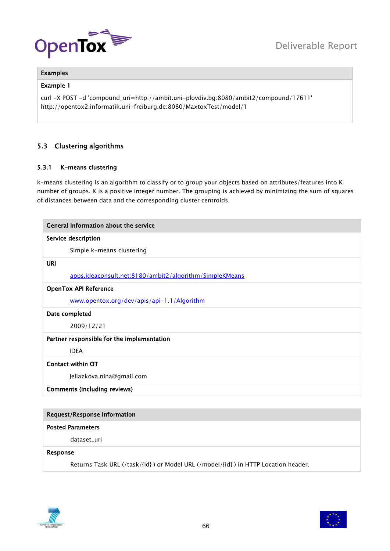



# Examples

# Example 1

curl -X POST -d 'compound\_uri=http://ambit.uni-plovdiv.bg:8080/ambit2/compound/17611' http://opentox2.informatik.uni-freiburg.de:8080/MaxtoxTest/model/1

# 5.3 Clustering algorithms

# 5.3.1 K-means clustering

k-means clustering is an algorithm to classify or to group your objects based on attributes/features into K number of groups. K is a positive integer number. The grouping is achieved by minimizing the sum of squares of distances between data and the corresponding cluster centroids.

| General Information about the service                   |
|---------------------------------------------------------|
| Service description                                     |
| Simple k-means clustering                               |
| URI                                                     |
| apps.ideaconsult.net:8180/ambit2/algorithm/SimpleKMeans |
| <b>OpenTox API Reference</b>                            |
| www.opentox.org/dev/apis/api-1.1/Algorithm              |
| Date completed                                          |
| 2009/12/21                                              |
| Partner responsible for the implementation              |
| <b>IDEA</b>                                             |
| <b>Contact within OT</b>                                |
| Jeliazkova.nina@gmail.com                               |
| <b>Comments (including reviews)</b>                     |
|                                                         |
| <b>Request/Response Information</b>                     |

# Posted Parameters

dataset\_uri

#### Response

Returns Task URL (/task/{id} ) or Model URL (/model/{id} ) in HTTP Location header.



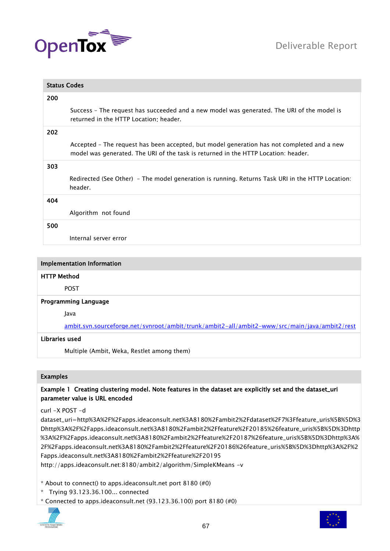



| <b>Status Codes</b> |                                                                                                                                                                                  |
|---------------------|----------------------------------------------------------------------------------------------------------------------------------------------------------------------------------|
| 200                 |                                                                                                                                                                                  |
|                     | Success - The request has succeeded and a new model was generated. The URI of the model is<br>returned in the HTTP Location: header.                                             |
| 202                 |                                                                                                                                                                                  |
|                     | Accepted - The request has been accepted, but model generation has not completed and a new<br>model was generated. The URI of the task is returned in the HTTP Location: header. |
| 303                 |                                                                                                                                                                                  |
|                     | Redirected (See Other) - The model generation is running. Returns Task URI in the HTTP Location:<br>header.                                                                      |
| 404                 |                                                                                                                                                                                  |
|                     | Algorithm not found                                                                                                                                                              |
| 500                 |                                                                                                                                                                                  |
|                     | Internal server error                                                                                                                                                            |
|                     |                                                                                                                                                                                  |

# HTTP Method

POST

#### Programming Language

Java

[ambit.svn.sourceforge.net/svnroot/ambit/trunk/ambit2-all/ambit2-www/src/main/java/ambit2/rest](https://ambit.svn.sourceforge.net/svnroot/ambit/trunk/ambit2-all/ambit2-www/src/main/java/ambit2/rest)

#### Libraries used

Multiple (Ambit, Weka, Restlet among them)

# Examples

# Example 1 Creating clustering model. Note features in the dataset are explicitly set and the dataset\_uri parameter value is URL encoded

curl -X POST -d

dataset\_uri=http%3A%2F%2Fapps.ideaconsult.net%3A8180%2Fambit2%2Fdataset%2F7%3Ffeature\_uris%5B%5D%3 Dhttp%3A%2F%2Fapps.ideaconsult.net%3A8180%2Fambit2%2Ffeature%2F20185%26feature\_uris%5B%5D%3Dhttp %3A%2F%2Fapps.ideaconsult.net%3A8180%2Fambit2%2Ffeature%2F20187%26feature\_uris%5B%5D%3Dhttp%3A% 2F%2Fapps.ideaconsult.net%3A8180%2Fambit2%2Ffeature%2F20186%26feature\_uris%5B%5D%3Dhttp%3A%2F%2 Fapps.ideaconsult.net%3A8180%2Fambit2%2Ffeature%2F20195

http://apps.ideaconsult.net:8180/ambit2/algorithm/SimpleKMeans -v

\* About to connect() to apps.ideaconsult.net port 8180 (#0)

- \* Trying 93.123.36.100... connected
- \* Connected to apps.ideaconsult.net (93.123.36.100) port 8180 (#0)

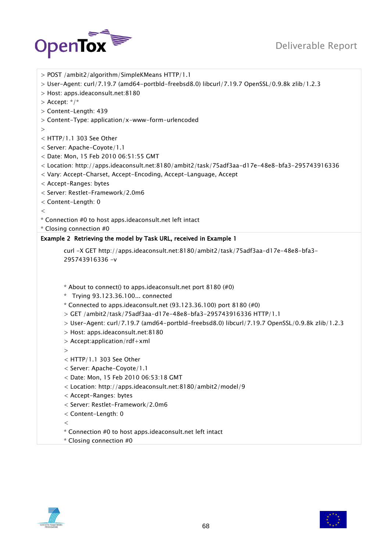# Deliverable Report



```
> POST /ambit2/algorithm/SimpleKMeans HTTP/1.1
> User-Agent: curl/7.19.7 (amd64-portbld-freebsd8.0) libcurl/7.19.7 OpenSSL/0.9.8k zlib/1.2.3
> Host: apps.ideaconsult.net:8180
> Accept: */*
> Content-Length: 439
> Content-Type: application/x-www-form-urlencoded
>
< HTTP/1.1 303 See Other
< Server: Apache-Coyote/1.1
< Date: Mon, 15 Feb 2010 06:51:55 GMT
< Location: http://apps.ideaconsult.net:8180/ambit2/task/75adf3aa-d17e-48e8-bfa3-295743916336
< Vary: Accept-Charset, Accept-Encoding, Accept-Language, Accept
< Accept-Ranges: bytes
< Server: Restlet-Framework/2.0m6
< Content-Length: 0
\lt* Connection #0 to host apps.ideaconsult.net left intact
* Closing connection #0
Example 2 Retrieving the model by Task URL, received in Example 1 
       curl -X GET http://apps.ideaconsult.net:8180/ambit2/task/75adf3aa-d17e-48e8-bfa3-
       295743916336 -v
       * About to connect() to apps.ideaconsult.net port 8180 (#0)
       * Trying 93.123.36.100... connected
       * Connected to apps.ideaconsult.net (93.123.36.100) port 8180 (#0)
       > GET /ambit2/task/75adf3aa-d17e-48e8-bfa3-295743916336 HTTP/1.1
       > User-Agent: curl/7.19.7 (amd64-portbld-freebsd8.0) libcurl/7.19.7 OpenSSL/0.9.8k zlib/1.2.3
       > Host: apps.ideaconsult.net:8180
       > Accept:application/rdf+xml
       >
       < HTTP/1.1 303 See Other
       < Server: Apache-Coyote/1.1
       < Date: Mon, 15 Feb 2010 06:53:18 GMT
       < Location: http://apps.ideaconsult.net:8180/ambit2/model/9
       < Accept-Ranges: bytes
       < Server: Restlet-Framework/2.0m6
       < Content-Length: 0
       \,<\,* Connection #0 to host apps.ideaconsult.net left intact
       * Closing connection #0
```


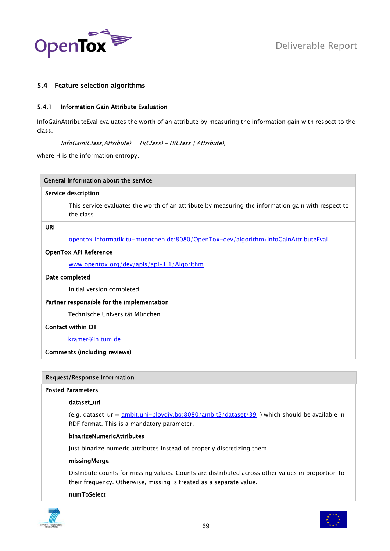

# 5.4 Feature selection algorithms

# 5.4.1 Information Gain Attribute Evaluation

InfoGainAttributeEval evaluates the worth of an attribute by measuring the information gain with respect to the class.

InfoGain(Class,Attribute) = H(Class) – H(Class | Attribute),

where H is the information entropy.

# Service description

This service evaluates the worth of an attribute by measuring the information gain with respect to the class.

# URI

[opentox.informatik.tu-muenchen.de:8080/OpenTox-dev/algorithm/InfoGainAttributeEval](http://opentox.informatik.tu-muenchen.de:8080/OpenTox-dev/algorithm/InfoGainAttributeEval)

#### OpenTox API Reference

[www.opentox.org/dev/apis/api-1.1/Algorithm](http://www.opentox.org/dev/apis/api-1.1/Algorithm)

#### Date completed

Initial version completed.

#### Partner responsible for the implementation

Technische Universität München

#### Contact within OT

[kramer@in.tum.de](mailto:kramer@in.tum.de)

#### Comments (including reviews)

#### Request/Response Information

#### Posted Parameters

#### dataset\_uri

(e.g. dataset\_uri= [ambit.uni-plovdiv.bg:8080/ambit2/dataset/39](http://ambit.uni-plovdiv.bg:8080/ambit2/dataset/39) ) which should be available in RDF format. This is a mandatory parameter.

#### binarizeNumericAttributes

Just binarize numeric attributes instead of properly discretizing them.

#### missingMerge

Distribute counts for missing values. Counts are distributed across other values in proportion to their frequency. Otherwise, missing is treated as a separate value.

#### numToSelect



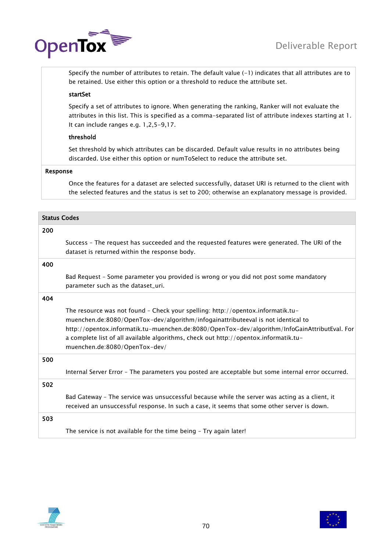

Specify the number of attributes to retain. The default value (-1) indicates that all attributes are to be retained. Use either this option or a threshold to reduce the attribute set.

# startSet

Specify a set of attributes to ignore. When generating the ranking, Ranker will not evaluate the attributes in this list. This is specified as a comma-separated list of attribute indexes starting at 1. It can include ranges e.g. 1,2,5-9,17.

# threshold

Set threshold by which attributes can be discarded. Default value results in no attributes being discarded. Use either this option or numToSelect to reduce the attribute set.

# Response

Once the features for a dataset are selected successfully, dataset URI is returned to the client with the selected features and the status is set to 200; otherwise an explanatory message is provided.

| <b>Status Codes</b> |                                                                                                                                                                                                                                                                                                                                                                                               |
|---------------------|-----------------------------------------------------------------------------------------------------------------------------------------------------------------------------------------------------------------------------------------------------------------------------------------------------------------------------------------------------------------------------------------------|
| 200                 |                                                                                                                                                                                                                                                                                                                                                                                               |
|                     | Success - The request has succeeded and the requested features were generated. The URI of the<br>dataset is returned within the response body.                                                                                                                                                                                                                                                |
| 400                 |                                                                                                                                                                                                                                                                                                                                                                                               |
|                     | Bad Request - Some parameter you provided is wrong or you did not post some mandatory<br>parameter such as the dataset_uri.                                                                                                                                                                                                                                                                   |
| 404                 |                                                                                                                                                                                                                                                                                                                                                                                               |
|                     | The resource was not found - Check your spelling: http://opentox.informatik.tu-<br>muenchen.de:8080/OpenTox-dev/algorithm/infogainattributeeval is not identical to<br>http://opentox.informatik.tu-muenchen.de:8080/OpenTox-dev/algorithm/InfoGainAttributEval. For<br>a complete list of all available algorithms, check out http://opentox.informatik.tu-<br>muenchen.de:8080/OpenTox-dev/ |
| 500                 |                                                                                                                                                                                                                                                                                                                                                                                               |
|                     | Internal Server Error - The parameters you posted are acceptable but some internal error occurred.                                                                                                                                                                                                                                                                                            |
| 502                 |                                                                                                                                                                                                                                                                                                                                                                                               |
|                     | Bad Gateway - The service was unsuccessful because while the server was acting as a client, it<br>received an unsuccessful response. In such a case, it seems that some other server is down.                                                                                                                                                                                                 |
| 503                 |                                                                                                                                                                                                                                                                                                                                                                                               |
|                     | The service is not available for the time being - Try again later!                                                                                                                                                                                                                                                                                                                            |



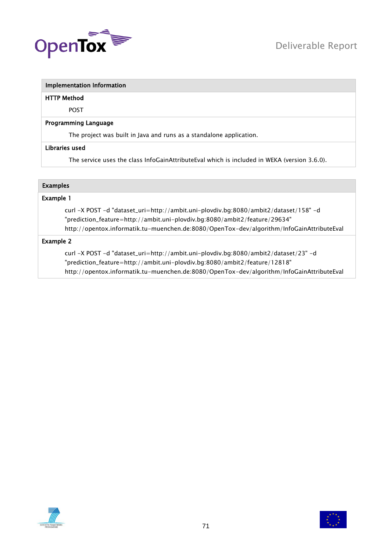

#### HTTP Method

POST

#### Programming Language

The project was built in Java and runs as a standalone application.

#### Libraries used

The service uses the class InfoGainAttributeEval which is included in WEKA (version 3.6.0).

# Examples

# Example 1

curl -X POST -d "dataset\_uri=http://ambit.uni-plovdiv.bg:8080/ambit2/dataset/158" -d "prediction\_feature=http://ambit.uni-plovdiv.bg:8080/ambit2/feature/29634" http://opentox.informatik.tu-muenchen.de:8080/OpenTox-dev/algorithm/InfoGainAttributeEval

# Example 2

curl -X POST -d "dataset\_uri=http://ambit.uni-plovdiv.bg:8080/ambit2/dataset/23" -d "prediction\_feature=http://ambit.uni-plovdiv.bg:8080/ambit2/feature/12818" http://opentox.informatik.tu-muenchen.de:8080/OpenTox-dev/algorithm/InfoGainAttributeEval



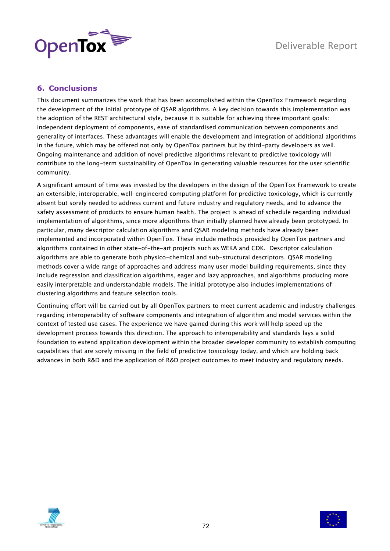

# **6. Conclusions**

This document summarizes the work that has been accomplished within the OpenTox Framework regarding the development of the initial prototype of QSAR algorithms. A key decision towards this implementation was the adoption of the REST architectural style, because it is suitable for achieving three important goals: independent deployment of components, ease of standardised communication between components and generality of interfaces. These advantages will enable the development and integration of additional algorithms in the future, which may be offered not only by OpenTox partners but by third-party developers as well. Ongoing maintenance and addition of novel predictive algorithms relevant to predictive toxicology will contribute to the long-term sustainability of OpenTox in generating valuable resources for the user scientific community.

A significant amount of time was invested by the developers in the design of the OpenTox Framework to create an extensible, interoperable, well-engineered computing platform for predictive toxicology, which is currently absent but sorely needed to address current and future industry and regulatory needs, and to advance the safety assessment of products to ensure human health. The project is ahead of schedule regarding individual implementation of algorithms, since more algorithms than initially planned have already been prototyped. In particular, many descriptor calculation algorithms and QSAR modeling methods have already been implemented and incorporated within OpenTox. These include methods provided by OpenTox partners and algorithms contained in other state-of-the-art projects such as WEKA and CDK. Descriptor calculation algorithms are able to generate both physico-chemical and sub-structural descriptors. QSAR modeling methods cover a wide range of approaches and address many user model building requirements, since they include regression and classification algorithms, eager and lazy approaches, and algorithms producing more easily interpretable and understandable models. The initial prototype also includes implementations of clustering algorithms and feature selection tools.

Continuing effort will be carried out by all OpenTox partners to meet current academic and industry challenges regarding interoperability of software components and integration of algorithm and model services within the context of tested use cases. The experience we have gained during this work will help speed up the development process towards this direction. The approach to interoperability and standards lays a solid foundation to extend application development within the broader developer community to establish computing capabilities that are sorely missing in the field of predictive toxicology today, and which are holding back advances in both R&D and the application of R&D project outcomes to meet industry and regulatory needs.